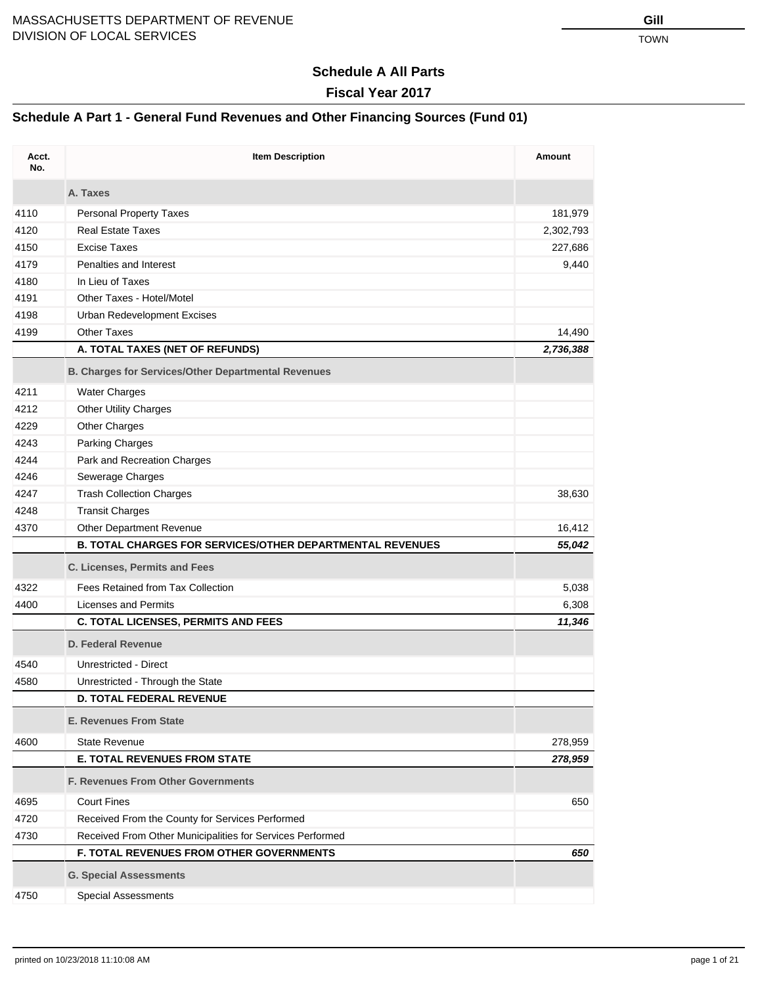### **Fiscal Year 2017**

### **Schedule A Part 1 - General Fund Revenues and Other Financing Sources (Fund 01)**

| A. Taxes<br>4110<br><b>Personal Property Taxes</b><br>181,979<br>4120<br><b>Real Estate Taxes</b><br>2,302,793<br>4150<br><b>Excise Taxes</b><br>227,686<br>4179<br>Penalties and Interest<br>9,440<br>In Lieu of Taxes<br>4180<br>Other Taxes - Hotel/Motel<br>4191<br>4198<br>Urban Redevelopment Excises<br>4199<br><b>Other Taxes</b><br>14,490<br>A. TOTAL TAXES (NET OF REFUNDS)<br>2,736,388<br><b>B. Charges for Services/Other Departmental Revenues</b><br>4211<br><b>Water Charges</b><br>4212<br><b>Other Utility Charges</b><br>4229<br>Other Charges<br>4243<br><b>Parking Charges</b><br>4244<br>Park and Recreation Charges<br>4246<br>Sewerage Charges<br>4247<br><b>Trash Collection Charges</b><br>38,630<br>4248<br><b>Transit Charges</b><br>4370<br>Other Department Revenue<br>16,412<br><b>B. TOTAL CHARGES FOR SERVICES/OTHER DEPARTMENTAL REVENUES</b><br>55,042<br>C. Licenses, Permits and Fees<br>4322<br>Fees Retained from Tax Collection<br>5,038<br>4400<br><b>Licenses and Permits</b><br>6,308<br><b>C. TOTAL LICENSES, PERMITS AND FEES</b><br>11,346<br><b>D. Federal Revenue</b><br>4540<br>Unrestricted - Direct<br>4580<br>Unrestricted - Through the State<br><b>D. TOTAL FEDERAL REVENUE</b><br><b>E. Revenues From State</b><br>4600<br><b>State Revenue</b><br>278,959<br><b>E. TOTAL REVENUES FROM STATE</b><br>278,959<br><b>F. Revenues From Other Governments</b><br>4695<br><b>Court Fines</b><br>650<br>4720<br>Received From the County for Services Performed<br>Received From Other Municipalities for Services Performed<br>4730<br>F. TOTAL REVENUES FROM OTHER GOVERNMENTS<br>650<br><b>G. Special Assessments</b> | Acct.<br>No. | <b>Item Description</b> | Amount |
|----------------------------------------------------------------------------------------------------------------------------------------------------------------------------------------------------------------------------------------------------------------------------------------------------------------------------------------------------------------------------------------------------------------------------------------------------------------------------------------------------------------------------------------------------------------------------------------------------------------------------------------------------------------------------------------------------------------------------------------------------------------------------------------------------------------------------------------------------------------------------------------------------------------------------------------------------------------------------------------------------------------------------------------------------------------------------------------------------------------------------------------------------------------------------------------------------------------------------------------------------------------------------------------------------------------------------------------------------------------------------------------------------------------------------------------------------------------------------------------------------------------------------------------------------------------------------------------------------------------------------------------------------------------------------|--------------|-------------------------|--------|
|                                                                                                                                                                                                                                                                                                                                                                                                                                                                                                                                                                                                                                                                                                                                                                                                                                                                                                                                                                                                                                                                                                                                                                                                                                                                                                                                                                                                                                                                                                                                                                                                                                                                            |              |                         |        |
|                                                                                                                                                                                                                                                                                                                                                                                                                                                                                                                                                                                                                                                                                                                                                                                                                                                                                                                                                                                                                                                                                                                                                                                                                                                                                                                                                                                                                                                                                                                                                                                                                                                                            |              |                         |        |
|                                                                                                                                                                                                                                                                                                                                                                                                                                                                                                                                                                                                                                                                                                                                                                                                                                                                                                                                                                                                                                                                                                                                                                                                                                                                                                                                                                                                                                                                                                                                                                                                                                                                            |              |                         |        |
|                                                                                                                                                                                                                                                                                                                                                                                                                                                                                                                                                                                                                                                                                                                                                                                                                                                                                                                                                                                                                                                                                                                                                                                                                                                                                                                                                                                                                                                                                                                                                                                                                                                                            |              |                         |        |
|                                                                                                                                                                                                                                                                                                                                                                                                                                                                                                                                                                                                                                                                                                                                                                                                                                                                                                                                                                                                                                                                                                                                                                                                                                                                                                                                                                                                                                                                                                                                                                                                                                                                            |              |                         |        |
|                                                                                                                                                                                                                                                                                                                                                                                                                                                                                                                                                                                                                                                                                                                                                                                                                                                                                                                                                                                                                                                                                                                                                                                                                                                                                                                                                                                                                                                                                                                                                                                                                                                                            |              |                         |        |
|                                                                                                                                                                                                                                                                                                                                                                                                                                                                                                                                                                                                                                                                                                                                                                                                                                                                                                                                                                                                                                                                                                                                                                                                                                                                                                                                                                                                                                                                                                                                                                                                                                                                            |              |                         |        |
|                                                                                                                                                                                                                                                                                                                                                                                                                                                                                                                                                                                                                                                                                                                                                                                                                                                                                                                                                                                                                                                                                                                                                                                                                                                                                                                                                                                                                                                                                                                                                                                                                                                                            |              |                         |        |
|                                                                                                                                                                                                                                                                                                                                                                                                                                                                                                                                                                                                                                                                                                                                                                                                                                                                                                                                                                                                                                                                                                                                                                                                                                                                                                                                                                                                                                                                                                                                                                                                                                                                            |              |                         |        |
|                                                                                                                                                                                                                                                                                                                                                                                                                                                                                                                                                                                                                                                                                                                                                                                                                                                                                                                                                                                                                                                                                                                                                                                                                                                                                                                                                                                                                                                                                                                                                                                                                                                                            |              |                         |        |
|                                                                                                                                                                                                                                                                                                                                                                                                                                                                                                                                                                                                                                                                                                                                                                                                                                                                                                                                                                                                                                                                                                                                                                                                                                                                                                                                                                                                                                                                                                                                                                                                                                                                            |              |                         |        |
|                                                                                                                                                                                                                                                                                                                                                                                                                                                                                                                                                                                                                                                                                                                                                                                                                                                                                                                                                                                                                                                                                                                                                                                                                                                                                                                                                                                                                                                                                                                                                                                                                                                                            |              |                         |        |
|                                                                                                                                                                                                                                                                                                                                                                                                                                                                                                                                                                                                                                                                                                                                                                                                                                                                                                                                                                                                                                                                                                                                                                                                                                                                                                                                                                                                                                                                                                                                                                                                                                                                            |              |                         |        |
|                                                                                                                                                                                                                                                                                                                                                                                                                                                                                                                                                                                                                                                                                                                                                                                                                                                                                                                                                                                                                                                                                                                                                                                                                                                                                                                                                                                                                                                                                                                                                                                                                                                                            |              |                         |        |
|                                                                                                                                                                                                                                                                                                                                                                                                                                                                                                                                                                                                                                                                                                                                                                                                                                                                                                                                                                                                                                                                                                                                                                                                                                                                                                                                                                                                                                                                                                                                                                                                                                                                            |              |                         |        |
|                                                                                                                                                                                                                                                                                                                                                                                                                                                                                                                                                                                                                                                                                                                                                                                                                                                                                                                                                                                                                                                                                                                                                                                                                                                                                                                                                                                                                                                                                                                                                                                                                                                                            |              |                         |        |
|                                                                                                                                                                                                                                                                                                                                                                                                                                                                                                                                                                                                                                                                                                                                                                                                                                                                                                                                                                                                                                                                                                                                                                                                                                                                                                                                                                                                                                                                                                                                                                                                                                                                            |              |                         |        |
|                                                                                                                                                                                                                                                                                                                                                                                                                                                                                                                                                                                                                                                                                                                                                                                                                                                                                                                                                                                                                                                                                                                                                                                                                                                                                                                                                                                                                                                                                                                                                                                                                                                                            |              |                         |        |
|                                                                                                                                                                                                                                                                                                                                                                                                                                                                                                                                                                                                                                                                                                                                                                                                                                                                                                                                                                                                                                                                                                                                                                                                                                                                                                                                                                                                                                                                                                                                                                                                                                                                            |              |                         |        |
|                                                                                                                                                                                                                                                                                                                                                                                                                                                                                                                                                                                                                                                                                                                                                                                                                                                                                                                                                                                                                                                                                                                                                                                                                                                                                                                                                                                                                                                                                                                                                                                                                                                                            |              |                         |        |
|                                                                                                                                                                                                                                                                                                                                                                                                                                                                                                                                                                                                                                                                                                                                                                                                                                                                                                                                                                                                                                                                                                                                                                                                                                                                                                                                                                                                                                                                                                                                                                                                                                                                            |              |                         |        |
|                                                                                                                                                                                                                                                                                                                                                                                                                                                                                                                                                                                                                                                                                                                                                                                                                                                                                                                                                                                                                                                                                                                                                                                                                                                                                                                                                                                                                                                                                                                                                                                                                                                                            |              |                         |        |
|                                                                                                                                                                                                                                                                                                                                                                                                                                                                                                                                                                                                                                                                                                                                                                                                                                                                                                                                                                                                                                                                                                                                                                                                                                                                                                                                                                                                                                                                                                                                                                                                                                                                            |              |                         |        |
|                                                                                                                                                                                                                                                                                                                                                                                                                                                                                                                                                                                                                                                                                                                                                                                                                                                                                                                                                                                                                                                                                                                                                                                                                                                                                                                                                                                                                                                                                                                                                                                                                                                                            |              |                         |        |
|                                                                                                                                                                                                                                                                                                                                                                                                                                                                                                                                                                                                                                                                                                                                                                                                                                                                                                                                                                                                                                                                                                                                                                                                                                                                                                                                                                                                                                                                                                                                                                                                                                                                            |              |                         |        |
|                                                                                                                                                                                                                                                                                                                                                                                                                                                                                                                                                                                                                                                                                                                                                                                                                                                                                                                                                                                                                                                                                                                                                                                                                                                                                                                                                                                                                                                                                                                                                                                                                                                                            |              |                         |        |
|                                                                                                                                                                                                                                                                                                                                                                                                                                                                                                                                                                                                                                                                                                                                                                                                                                                                                                                                                                                                                                                                                                                                                                                                                                                                                                                                                                                                                                                                                                                                                                                                                                                                            |              |                         |        |
|                                                                                                                                                                                                                                                                                                                                                                                                                                                                                                                                                                                                                                                                                                                                                                                                                                                                                                                                                                                                                                                                                                                                                                                                                                                                                                                                                                                                                                                                                                                                                                                                                                                                            |              |                         |        |
|                                                                                                                                                                                                                                                                                                                                                                                                                                                                                                                                                                                                                                                                                                                                                                                                                                                                                                                                                                                                                                                                                                                                                                                                                                                                                                                                                                                                                                                                                                                                                                                                                                                                            |              |                         |        |
|                                                                                                                                                                                                                                                                                                                                                                                                                                                                                                                                                                                                                                                                                                                                                                                                                                                                                                                                                                                                                                                                                                                                                                                                                                                                                                                                                                                                                                                                                                                                                                                                                                                                            |              |                         |        |
|                                                                                                                                                                                                                                                                                                                                                                                                                                                                                                                                                                                                                                                                                                                                                                                                                                                                                                                                                                                                                                                                                                                                                                                                                                                                                                                                                                                                                                                                                                                                                                                                                                                                            |              |                         |        |
|                                                                                                                                                                                                                                                                                                                                                                                                                                                                                                                                                                                                                                                                                                                                                                                                                                                                                                                                                                                                                                                                                                                                                                                                                                                                                                                                                                                                                                                                                                                                                                                                                                                                            |              |                         |        |
|                                                                                                                                                                                                                                                                                                                                                                                                                                                                                                                                                                                                                                                                                                                                                                                                                                                                                                                                                                                                                                                                                                                                                                                                                                                                                                                                                                                                                                                                                                                                                                                                                                                                            |              |                         |        |
|                                                                                                                                                                                                                                                                                                                                                                                                                                                                                                                                                                                                                                                                                                                                                                                                                                                                                                                                                                                                                                                                                                                                                                                                                                                                                                                                                                                                                                                                                                                                                                                                                                                                            |              |                         |        |
|                                                                                                                                                                                                                                                                                                                                                                                                                                                                                                                                                                                                                                                                                                                                                                                                                                                                                                                                                                                                                                                                                                                                                                                                                                                                                                                                                                                                                                                                                                                                                                                                                                                                            |              |                         |        |
|                                                                                                                                                                                                                                                                                                                                                                                                                                                                                                                                                                                                                                                                                                                                                                                                                                                                                                                                                                                                                                                                                                                                                                                                                                                                                                                                                                                                                                                                                                                                                                                                                                                                            |              |                         |        |
|                                                                                                                                                                                                                                                                                                                                                                                                                                                                                                                                                                                                                                                                                                                                                                                                                                                                                                                                                                                                                                                                                                                                                                                                                                                                                                                                                                                                                                                                                                                                                                                                                                                                            |              |                         |        |
|                                                                                                                                                                                                                                                                                                                                                                                                                                                                                                                                                                                                                                                                                                                                                                                                                                                                                                                                                                                                                                                                                                                                                                                                                                                                                                                                                                                                                                                                                                                                                                                                                                                                            |              |                         |        |
| 4750<br><b>Special Assessments</b>                                                                                                                                                                                                                                                                                                                                                                                                                                                                                                                                                                                                                                                                                                                                                                                                                                                                                                                                                                                                                                                                                                                                                                                                                                                                                                                                                                                                                                                                                                                                                                                                                                         |              |                         |        |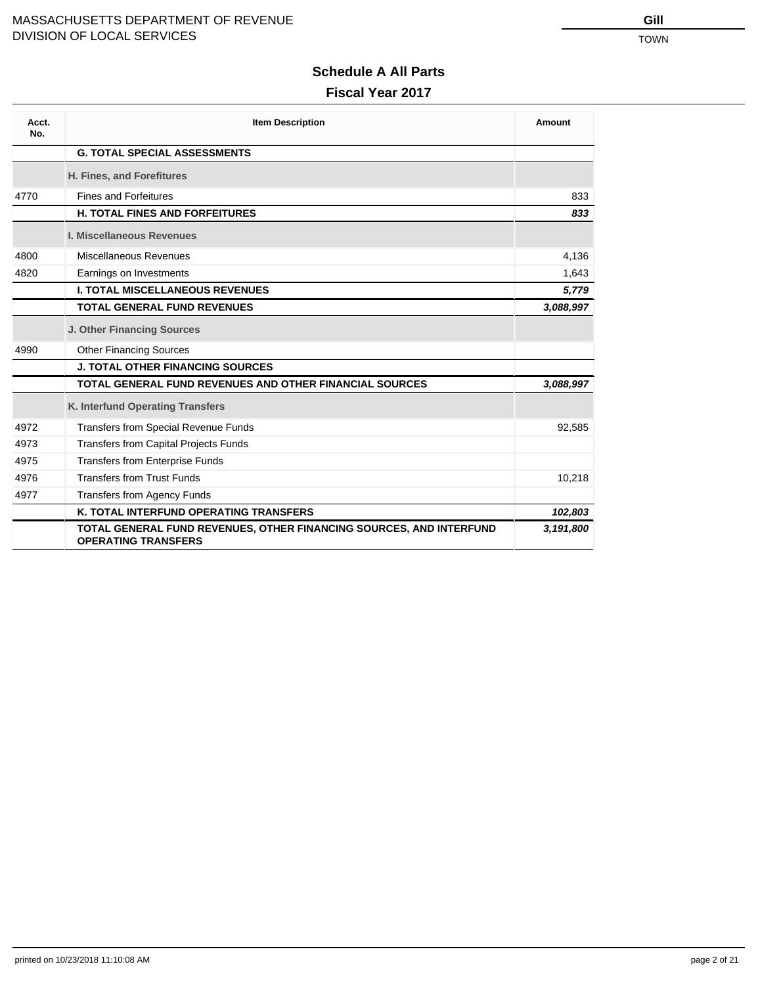#### MASSACHUSETTS DEPARTMENT OF REVENUE **GILL** DIVISION OF LOCAL SERVICES TOWN

# **Schedule A All Parts**

# **Fiscal Year 2017**

| Acct.<br>No. | <b>Item Description</b>                                                                           | Amount    |
|--------------|---------------------------------------------------------------------------------------------------|-----------|
|              | <b>G. TOTAL SPECIAL ASSESSMENTS</b>                                                               |           |
|              | H. Fines, and Forefitures                                                                         |           |
| 4770         | <b>Fines and Forfeitures</b>                                                                      | 833       |
|              | <b>H. TOTAL FINES AND FORFEITURES</b>                                                             | 833       |
|              | <b>I. Miscellaneous Revenues</b>                                                                  |           |
| 4800         | <b>Miscellaneous Revenues</b>                                                                     | 4,136     |
| 4820         | Earnings on Investments                                                                           | 1,643     |
|              | <b>I. TOTAL MISCELLANEOUS REVENUES</b>                                                            | 5,779     |
|              | <b>TOTAL GENERAL FUND REVENUES</b>                                                                | 3,088,997 |
|              | <b>J. Other Financing Sources</b>                                                                 |           |
| 4990         | <b>Other Financing Sources</b>                                                                    |           |
|              | <b>J. TOTAL OTHER FINANCING SOURCES</b>                                                           |           |
|              | <b>TOTAL GENERAL FUND REVENUES AND OTHER FINANCIAL SOURCES</b>                                    | 3,088,997 |
|              | K. Interfund Operating Transfers                                                                  |           |
| 4972         | <b>Transfers from Special Revenue Funds</b>                                                       | 92.585    |
| 4973         | Transfers from Capital Projects Funds                                                             |           |
| 4975         | <b>Transfers from Enterprise Funds</b>                                                            |           |
| 4976         | <b>Transfers from Trust Funds</b>                                                                 | 10,218    |
| 4977         | <b>Transfers from Agency Funds</b>                                                                |           |
|              | K. TOTAL INTERFUND OPERATING TRANSFERS                                                            | 102,803   |
|              | TOTAL GENERAL FUND REVENUES, OTHER FINANCING SOURCES, AND INTERFUND<br><b>OPERATING TRANSFERS</b> | 3,191,800 |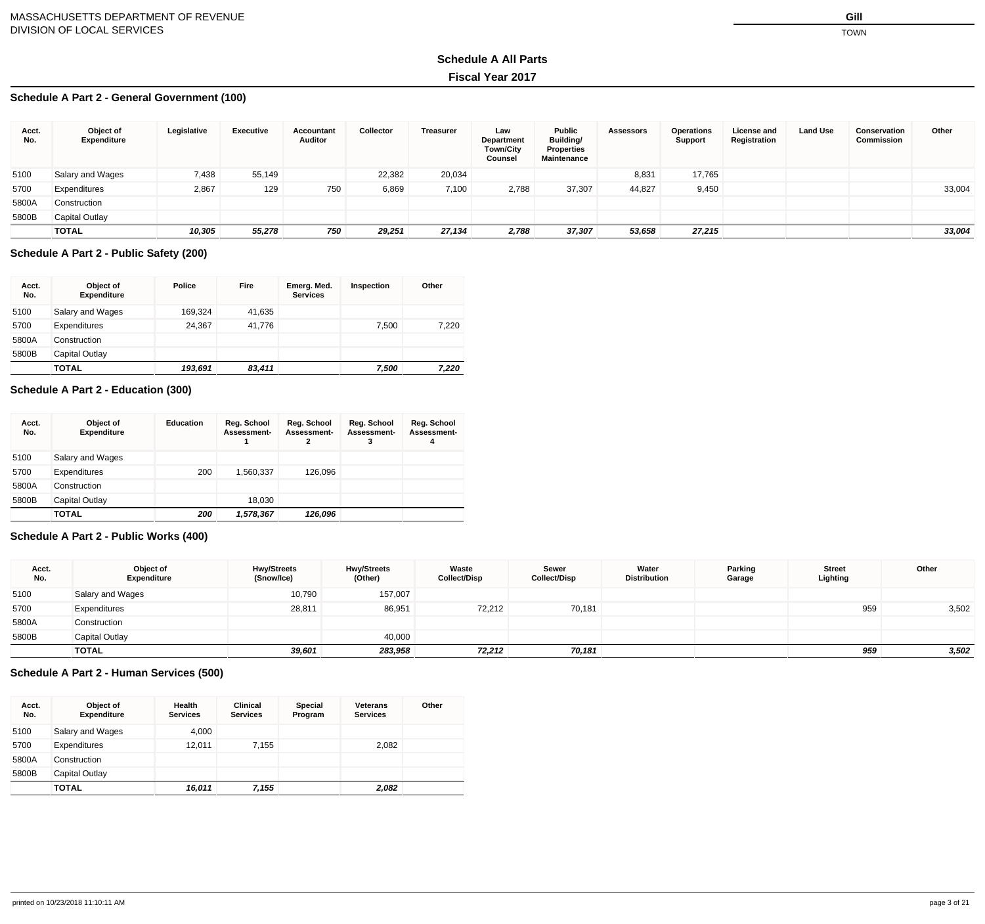#### **Schedule A Part 2 - General Government (100)**

| Acct.<br>No. | Object of<br><b>Expenditure</b> | Legislative | <b>Executive</b> | Accountant<br>Auditor | <b>Collector</b> | <b>Treasurer</b> | Law<br>Department<br><b>Town/City</b><br>Counsel | <b>Public</b><br>Building/<br><b>Properties</b><br>Maintenance | <b>Assessors</b> | <b>Operations</b><br><b>Support</b> | <b>License and</b><br>Registration | <b>Land Use</b> | Conservation<br><b>Commission</b> | Other  |
|--------------|---------------------------------|-------------|------------------|-----------------------|------------------|------------------|--------------------------------------------------|----------------------------------------------------------------|------------------|-------------------------------------|------------------------------------|-----------------|-----------------------------------|--------|
| 5100         | Salary and Wages                | 7,438       | 55,149           |                       | 22,382           | 20,034           |                                                  |                                                                | 8,831            | 17,765                              |                                    |                 |                                   |        |
| 5700         | Expenditures                    | 2,867       | 129              | 750                   | 6,869            | 7,100            | 2,788                                            | 37,307                                                         | 44,827           | 9,450                               |                                    |                 |                                   | 33,004 |
| 5800A        | Construction                    |             |                  |                       |                  |                  |                                                  |                                                                |                  |                                     |                                    |                 |                                   |        |
| 5800B        | Capital Outlay                  |             |                  |                       |                  |                  |                                                  |                                                                |                  |                                     |                                    |                 |                                   |        |
|              | <b>TOTAL</b>                    | 10,305      | 55,278           | 750                   | 29,251           | 27,134           | 2,788                                            | 37,307                                                         | 53,658           | 27,215                              |                                    |                 |                                   | 33,004 |

#### **Schedule A Part 2 - Public Safety (200)**

| Acct.<br>No. | Object of<br><b>Expenditure</b> | <b>Police</b> | <b>Fire</b> | Emerg. Med.<br><b>Services</b> | Inspection | Other |
|--------------|---------------------------------|---------------|-------------|--------------------------------|------------|-------|
| 5100         | Salary and Wages                | 169.324       | 41,635      |                                |            |       |
| 5700         | Expenditures                    | 24.367        | 41.776      |                                | 7,500      | 7.220 |
| 5800A        | Construction                    |               |             |                                |            |       |
| 5800B        | Capital Outlay                  |               |             |                                |            |       |
|              | <b>TOTAL</b>                    | 193,691       | 83,411      |                                | 7,500      | 7,220 |

#### **Schedule A Part 2 - Education (300)**

| Acct.<br>No. | Object of<br><b>Expenditure</b> | <b>Education</b> | Reg. School<br>Assessment-<br>1 | Reg. School<br>Assessment-<br>2 | Reg. School<br>Assessment-<br>3 | Reg. School<br>Assessment-<br>4 |
|--------------|---------------------------------|------------------|---------------------------------|---------------------------------|---------------------------------|---------------------------------|
| 5100         | Salary and Wages                |                  |                                 |                                 |                                 |                                 |
| 5700         | Expenditures                    | 200              | 1,560,337                       | 126.096                         |                                 |                                 |
| 5800A        | Construction                    |                  |                                 |                                 |                                 |                                 |
| 5800B        | Capital Outlay                  |                  | 18.030                          |                                 |                                 |                                 |
|              | <b>TOTAL</b>                    | 200              | 1,578,367                       | 126,096                         |                                 |                                 |

#### **Schedule A Part 2 - Public Works (400)**

| Acct.<br>No. | Object of<br><b>Expenditure</b> | <b>Hwy/Streets</b><br>(Snow/Ice) | Hwy/Streets<br>(Other) | Waste<br><b>Collect/Disp</b> | Sewer<br><b>Collect/Disp</b> | Water<br><b>Distribution</b> | Parking<br>Garage | <b>Street</b><br>Lighting | Other |
|--------------|---------------------------------|----------------------------------|------------------------|------------------------------|------------------------------|------------------------------|-------------------|---------------------------|-------|
| 5100         | Salary and Wages                | 10,790                           | 157,007                |                              |                              |                              |                   |                           |       |
| 5700         | Expenditures                    | 28,811                           | 86,951                 | 72,212                       | 70,181                       |                              |                   | 959                       | 3,502 |
| 5800A        | Construction                    |                                  |                        |                              |                              |                              |                   |                           |       |
| 5800B        | Capital Outlay                  |                                  | 40,000                 |                              |                              |                              |                   |                           |       |
|              | <b>TOTAL</b>                    | 39,601                           | 283,958                | 72,212                       | 70,181                       |                              |                   | 959                       | 3,502 |

#### **Schedule A Part 2 - Human Services (500)**

| Acct.<br>No. | Object of<br><b>Expenditure</b> | Health<br><b>Services</b> | Clinical<br><b>Services</b> | <b>Special</b><br>Program | <b>Veterans</b><br><b>Services</b> | Other |
|--------------|---------------------------------|---------------------------|-----------------------------|---------------------------|------------------------------------|-------|
| 5100         | Salary and Wages                | 4,000                     |                             |                           |                                    |       |
| 5700         | Expenditures                    | 12.011                    | 7,155                       |                           | 2,082                              |       |
| 5800A        | Construction                    |                           |                             |                           |                                    |       |
| 5800B        | Capital Outlay                  |                           |                             |                           |                                    |       |
|              | <b>TOTAL</b>                    | 16,011                    | 7,155                       |                           | 2,082                              |       |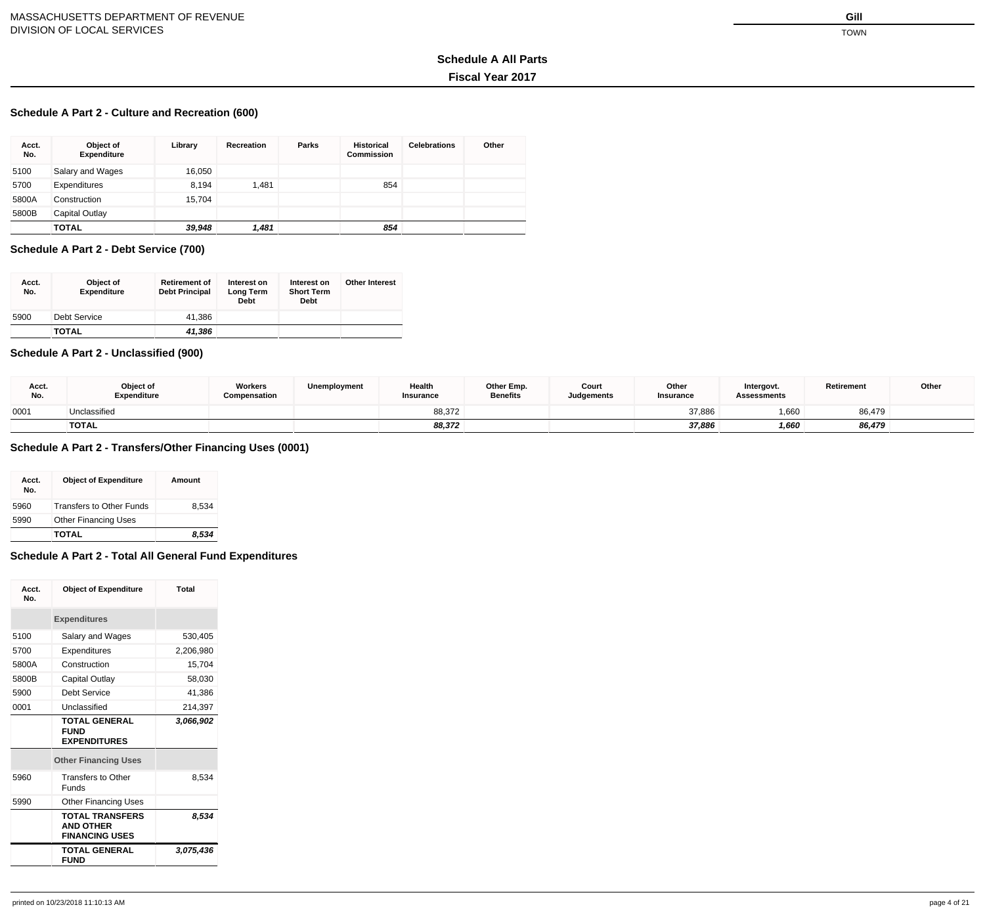#### **Schedule A Part 2 - Culture and Recreation (600)**

| Acct.<br>No. | Object of<br><b>Expenditure</b> | Library | Recreation | <b>Parks</b> | <b>Historical</b><br><b>Commission</b> | <b>Celebrations</b> | Other |
|--------------|---------------------------------|---------|------------|--------------|----------------------------------------|---------------------|-------|
| 5100         | Salary and Wages                | 16,050  |            |              |                                        |                     |       |
| 5700         | Expenditures                    | 8,194   | 1,481      |              | 854                                    |                     |       |
| 5800A        | Construction                    | 15,704  |            |              |                                        |                     |       |
| 5800B        | Capital Outlay                  |         |            |              |                                        |                     |       |
|              | <b>TOTAL</b>                    | 39,948  | 1,481      |              | 854                                    |                     |       |

#### **Schedule A Part 2 - Debt Service (700)**

| Acct.<br>No. | Object of<br><b>Expenditure</b> | <b>Retirement of</b><br><b>Debt Principal</b> | Interest on<br>Long Term<br><b>Debt</b> | Interest on<br><b>Short Term</b><br><b>Debt</b> | <b>Other Interest</b> |
|--------------|---------------------------------|-----------------------------------------------|-----------------------------------------|-------------------------------------------------|-----------------------|
| 5900         | Debt Service                    | 41.386                                        |                                         |                                                 |                       |
|              | <b>TOTAL</b>                    | 41.386                                        |                                         |                                                 |                       |

#### **Schedule A Part 2 - Unclassified (900)**

| Acct.<br>No. | Object of<br><b>Expenditure</b> | Workers<br>Compensation | Unemployment | Health<br>Insurance | Other Emp.<br><b>Benefits</b> | Court<br>Judgements | Other<br>Insurance | Intergovt.<br><b>Assessments</b> | Retirement | Other |
|--------------|---------------------------------|-------------------------|--------------|---------------------|-------------------------------|---------------------|--------------------|----------------------------------|------------|-------|
| 0001         | Unclassified                    |                         |              | 88,372              |                               |                     | 37,886             | 1,660                            | 86,479     |       |
|              | <b>TOTAL</b>                    |                         |              | 88,372              |                               |                     | 37,886             | 1,660                            | 86,479     |       |

#### **Schedule A Part 2 - Transfers/Other Financing Uses (0001)**

| Acct.<br>No. | <b>Object of Expenditure</b> | Amount |
|--------------|------------------------------|--------|
| 5960         | Transfers to Other Funds     | 8.534  |
| 5990         | <b>Other Financing Uses</b>  |        |
|              | <b>TOTAL</b>                 | 8,534  |

#### **Schedule A Part 2 - Total All General Fund Expenditures**

| Acct.<br>No. | <b>Object of Expenditure</b>                                        | Total     |
|--------------|---------------------------------------------------------------------|-----------|
|              | <b>Expenditures</b>                                                 |           |
| 5100         | Salary and Wages                                                    | 530,405   |
| 5700         | Expenditures                                                        | 2,206,980 |
| 5800A        | Construction                                                        | 15,704    |
| 5800B        | Capital Outlay                                                      | 58,030    |
| 5900         | Debt Service                                                        | 41.386    |
| 0001         | Unclassified                                                        | 214,397   |
|              | <b>TOTAL GENERAL</b><br><b>FUND</b><br><b>EXPENDITURES</b>          | 3,066,902 |
|              | <b>Other Financing Uses</b>                                         |           |
| 5960         | Transfers to Other<br>Funds                                         | 8,534     |
| 5990         | <b>Other Financing Uses</b>                                         |           |
|              | <b>TOTAL TRANSFERS</b><br><b>AND OTHER</b><br><b>FINANCING USES</b> | 8.534     |
|              | <b>TOTAL GENERAL</b><br><b>FUND</b>                                 | 3,075,436 |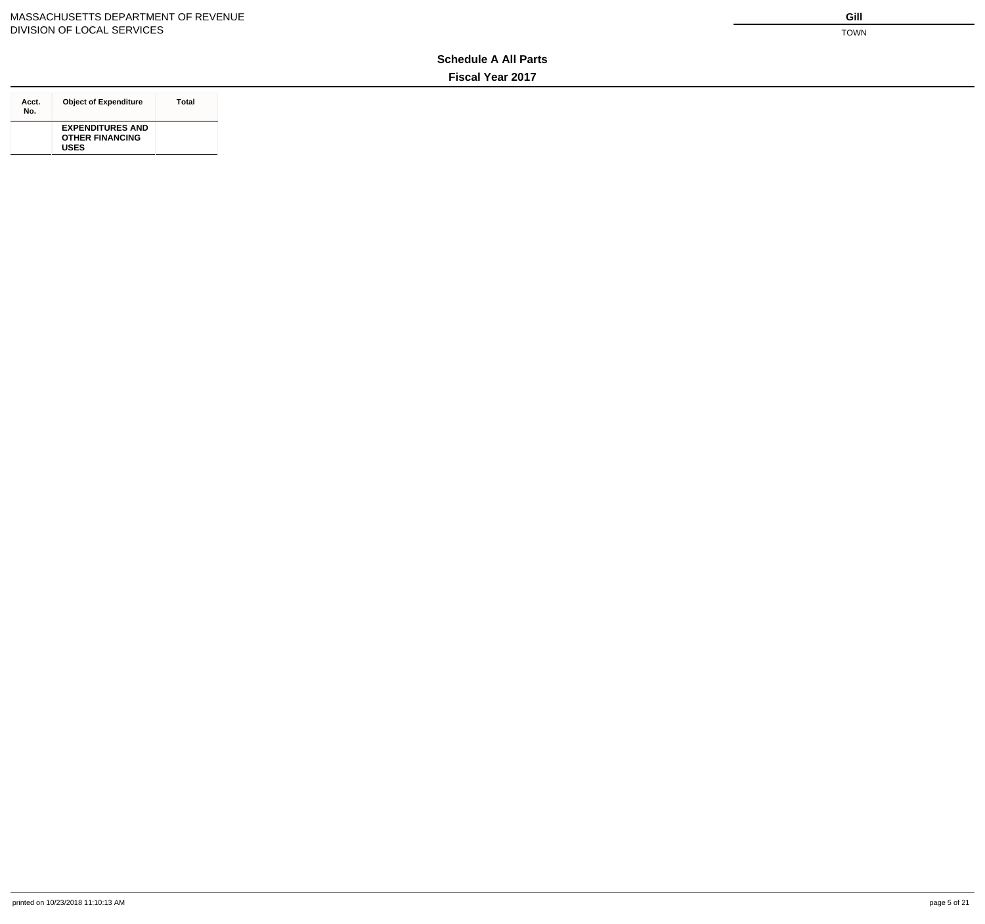#### **Acct. No. Object of Expenditure Total EXPENDITURES AND OTHER FINANCING USES**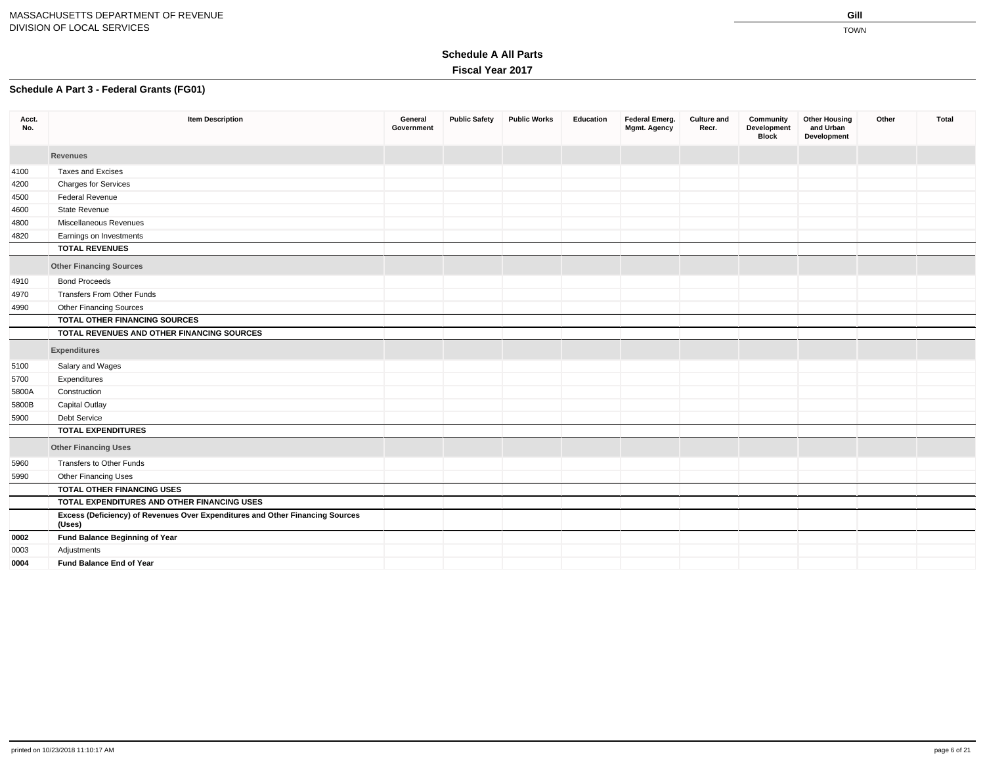### **Schedule A Part 3 - Federal Grants (FG01)**

| Acct.<br>No. | <b>Item Description</b>                                                                 | General<br>Government | <b>Public Safety</b> | <b>Public Works</b> | <b>Education</b> | Federal Emerg.<br><b>Mgmt. Agency</b> | <b>Culture and</b><br>Recr. | Community<br>Development<br><b>Block</b> | <b>Other Housing</b><br>and Urban<br>Development | Other | Total |
|--------------|-----------------------------------------------------------------------------------------|-----------------------|----------------------|---------------------|------------------|---------------------------------------|-----------------------------|------------------------------------------|--------------------------------------------------|-------|-------|
|              | <b>Revenues</b>                                                                         |                       |                      |                     |                  |                                       |                             |                                          |                                                  |       |       |
| 4100         | Taxes and Excises                                                                       |                       |                      |                     |                  |                                       |                             |                                          |                                                  |       |       |
| 4200         | <b>Charges for Services</b>                                                             |                       |                      |                     |                  |                                       |                             |                                          |                                                  |       |       |
| 4500         | Federal Revenue                                                                         |                       |                      |                     |                  |                                       |                             |                                          |                                                  |       |       |
| 4600         | State Revenue                                                                           |                       |                      |                     |                  |                                       |                             |                                          |                                                  |       |       |
| 4800         | Miscellaneous Revenues                                                                  |                       |                      |                     |                  |                                       |                             |                                          |                                                  |       |       |
| 4820         | Earnings on Investments                                                                 |                       |                      |                     |                  |                                       |                             |                                          |                                                  |       |       |
|              | <b>TOTAL REVENUES</b>                                                                   |                       |                      |                     |                  |                                       |                             |                                          |                                                  |       |       |
|              | <b>Other Financing Sources</b>                                                          |                       |                      |                     |                  |                                       |                             |                                          |                                                  |       |       |
| 4910         | <b>Bond Proceeds</b>                                                                    |                       |                      |                     |                  |                                       |                             |                                          |                                                  |       |       |
| 4970         | <b>Transfers From Other Funds</b>                                                       |                       |                      |                     |                  |                                       |                             |                                          |                                                  |       |       |
| 4990         | <b>Other Financing Sources</b>                                                          |                       |                      |                     |                  |                                       |                             |                                          |                                                  |       |       |
|              | <b>TOTAL OTHER FINANCING SOURCES</b>                                                    |                       |                      |                     |                  |                                       |                             |                                          |                                                  |       |       |
|              | TOTAL REVENUES AND OTHER FINANCING SOURCES                                              |                       |                      |                     |                  |                                       |                             |                                          |                                                  |       |       |
|              | <b>Expenditures</b>                                                                     |                       |                      |                     |                  |                                       |                             |                                          |                                                  |       |       |
| 5100         | Salary and Wages                                                                        |                       |                      |                     |                  |                                       |                             |                                          |                                                  |       |       |
| 5700         | Expenditures                                                                            |                       |                      |                     |                  |                                       |                             |                                          |                                                  |       |       |
| 5800A        | Construction                                                                            |                       |                      |                     |                  |                                       |                             |                                          |                                                  |       |       |
| 5800B        | <b>Capital Outlay</b>                                                                   |                       |                      |                     |                  |                                       |                             |                                          |                                                  |       |       |
| 5900         | Debt Service                                                                            |                       |                      |                     |                  |                                       |                             |                                          |                                                  |       |       |
|              | <b>TOTAL EXPENDITURES</b>                                                               |                       |                      |                     |                  |                                       |                             |                                          |                                                  |       |       |
|              | <b>Other Financing Uses</b>                                                             |                       |                      |                     |                  |                                       |                             |                                          |                                                  |       |       |
| 5960         | Transfers to Other Funds                                                                |                       |                      |                     |                  |                                       |                             |                                          |                                                  |       |       |
| 5990         | Other Financing Uses                                                                    |                       |                      |                     |                  |                                       |                             |                                          |                                                  |       |       |
|              | <b>TOTAL OTHER FINANCING USES</b>                                                       |                       |                      |                     |                  |                                       |                             |                                          |                                                  |       |       |
|              | TOTAL EXPENDITURES AND OTHER FINANCING USES                                             |                       |                      |                     |                  |                                       |                             |                                          |                                                  |       |       |
|              | Excess (Deficiency) of Revenues Over Expenditures and Other Financing Sources<br>(Uses) |                       |                      |                     |                  |                                       |                             |                                          |                                                  |       |       |
| 0002         | <b>Fund Balance Beginning of Year</b>                                                   |                       |                      |                     |                  |                                       |                             |                                          |                                                  |       |       |
| 0003         | Adjustments                                                                             |                       |                      |                     |                  |                                       |                             |                                          |                                                  |       |       |
| 0004         | <b>Fund Balance End of Year</b>                                                         |                       |                      |                     |                  |                                       |                             |                                          |                                                  |       |       |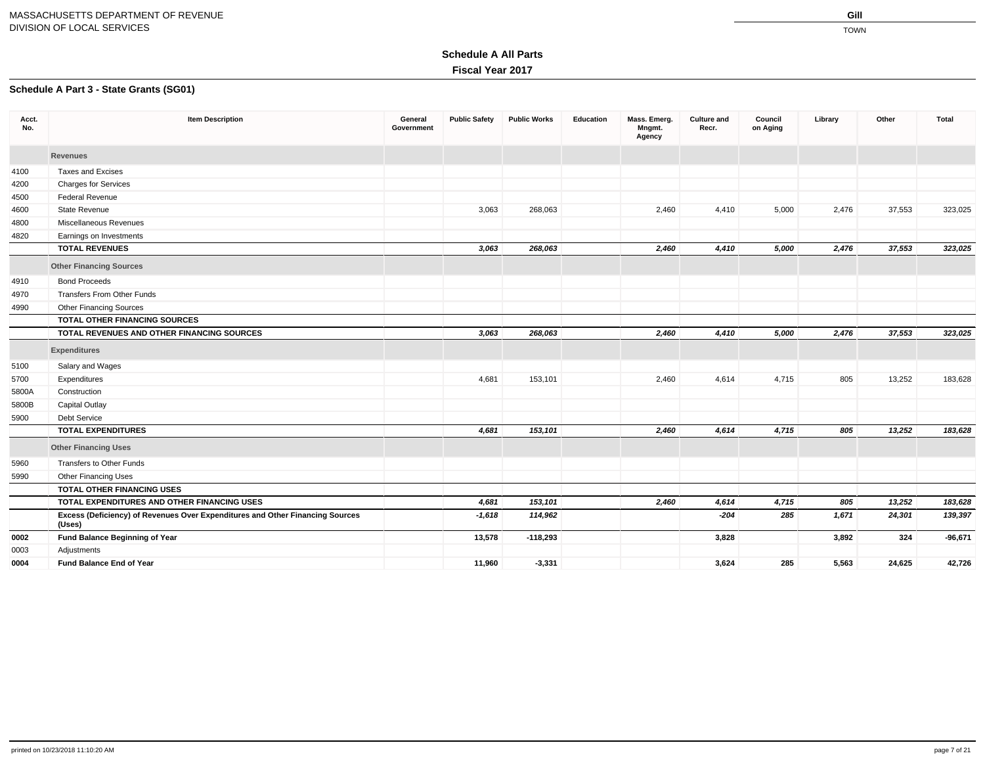### **Schedule A Part 3 - State Grants (SG01)**

| Acct.<br>No. | <b>Item Description</b>                                                                 | General<br>Government | <b>Public Safety</b> | <b>Public Works</b> | <b>Education</b> | Mass. Emerg.<br>Mngmt.<br>Agency | <b>Culture and</b><br>Recr. | Council<br>on Aging | Library | Other  | <b>Total</b> |
|--------------|-----------------------------------------------------------------------------------------|-----------------------|----------------------|---------------------|------------------|----------------------------------|-----------------------------|---------------------|---------|--------|--------------|
|              | <b>Revenues</b>                                                                         |                       |                      |                     |                  |                                  |                             |                     |         |        |              |
| 4100         | <b>Taxes and Excises</b>                                                                |                       |                      |                     |                  |                                  |                             |                     |         |        |              |
| 4200         | <b>Charges for Services</b>                                                             |                       |                      |                     |                  |                                  |                             |                     |         |        |              |
| 4500         | Federal Revenue                                                                         |                       |                      |                     |                  |                                  |                             |                     |         |        |              |
| 4600         | <b>State Revenue</b>                                                                    |                       | 3,063                | 268,063             |                  | 2,460                            | 4,410                       | 5,000               | 2,476   | 37,553 | 323,025      |
| 4800         | Miscellaneous Revenues                                                                  |                       |                      |                     |                  |                                  |                             |                     |         |        |              |
| 4820         | Earnings on Investments                                                                 |                       |                      |                     |                  |                                  |                             |                     |         |        |              |
|              | <b>TOTAL REVENUES</b>                                                                   |                       | 3,063                | 268,063             |                  | 2,460                            | 4,410                       | 5,000               | 2,476   | 37,553 | 323,025      |
|              | <b>Other Financing Sources</b>                                                          |                       |                      |                     |                  |                                  |                             |                     |         |        |              |
| 4910         | <b>Bond Proceeds</b>                                                                    |                       |                      |                     |                  |                                  |                             |                     |         |        |              |
| 4970         | <b>Transfers From Other Funds</b>                                                       |                       |                      |                     |                  |                                  |                             |                     |         |        |              |
| 4990         | <b>Other Financing Sources</b>                                                          |                       |                      |                     |                  |                                  |                             |                     |         |        |              |
|              | <b>TOTAL OTHER FINANCING SOURCES</b>                                                    |                       |                      |                     |                  |                                  |                             |                     |         |        |              |
|              | TOTAL REVENUES AND OTHER FINANCING SOURCES                                              |                       | 3,063                | 268,063             |                  | 2,460                            | 4,410                       | 5,000               | 2,476   | 37,553 | 323,025      |
|              | <b>Expenditures</b>                                                                     |                       |                      |                     |                  |                                  |                             |                     |         |        |              |
| 5100         | Salary and Wages                                                                        |                       |                      |                     |                  |                                  |                             |                     |         |        |              |
| 5700         | Expenditures                                                                            |                       | 4,681                | 153,101             |                  | 2,460                            | 4,614                       | 4,715               | 805     | 13,252 | 183,628      |
| 5800A        | Construction                                                                            |                       |                      |                     |                  |                                  |                             |                     |         |        |              |
| 5800B        | <b>Capital Outlay</b>                                                                   |                       |                      |                     |                  |                                  |                             |                     |         |        |              |
| 5900         | Debt Service                                                                            |                       |                      |                     |                  |                                  |                             |                     |         |        |              |
|              | <b>TOTAL EXPENDITURES</b>                                                               |                       | 4,681                | 153,101             |                  | 2,460                            | 4,614                       | 4,715               | 805     | 13,252 | 183,628      |
|              | <b>Other Financing Uses</b>                                                             |                       |                      |                     |                  |                                  |                             |                     |         |        |              |
| 5960         | <b>Transfers to Other Funds</b>                                                         |                       |                      |                     |                  |                                  |                             |                     |         |        |              |
| 5990         | Other Financing Uses                                                                    |                       |                      |                     |                  |                                  |                             |                     |         |        |              |
|              | <b>TOTAL OTHER FINANCING USES</b>                                                       |                       |                      |                     |                  |                                  |                             |                     |         |        |              |
|              | TOTAL EXPENDITURES AND OTHER FINANCING USES                                             |                       | 4,681                | 153,101             |                  | 2,460                            | 4,614                       | 4,715               | 805     | 13,252 | 183,628      |
|              | Excess (Deficiency) of Revenues Over Expenditures and Other Financing Sources<br>(Uses) |                       | $-1,618$             | 114,962             |                  |                                  | $-204$                      | 285                 | 1,671   | 24,301 | 139,397      |
| 0002         | <b>Fund Balance Beginning of Year</b>                                                   |                       | 13,578               | $-118,293$          |                  |                                  | 3,828                       |                     | 3,892   | 324    | $-96,671$    |
| 0003         | Adjustments                                                                             |                       |                      |                     |                  |                                  |                             |                     |         |        |              |
| 0004         | <b>Fund Balance End of Year</b>                                                         |                       | 11,960               | $-3,331$            |                  |                                  | 3,624                       | 285                 | 5,563   | 24,625 | 42,726       |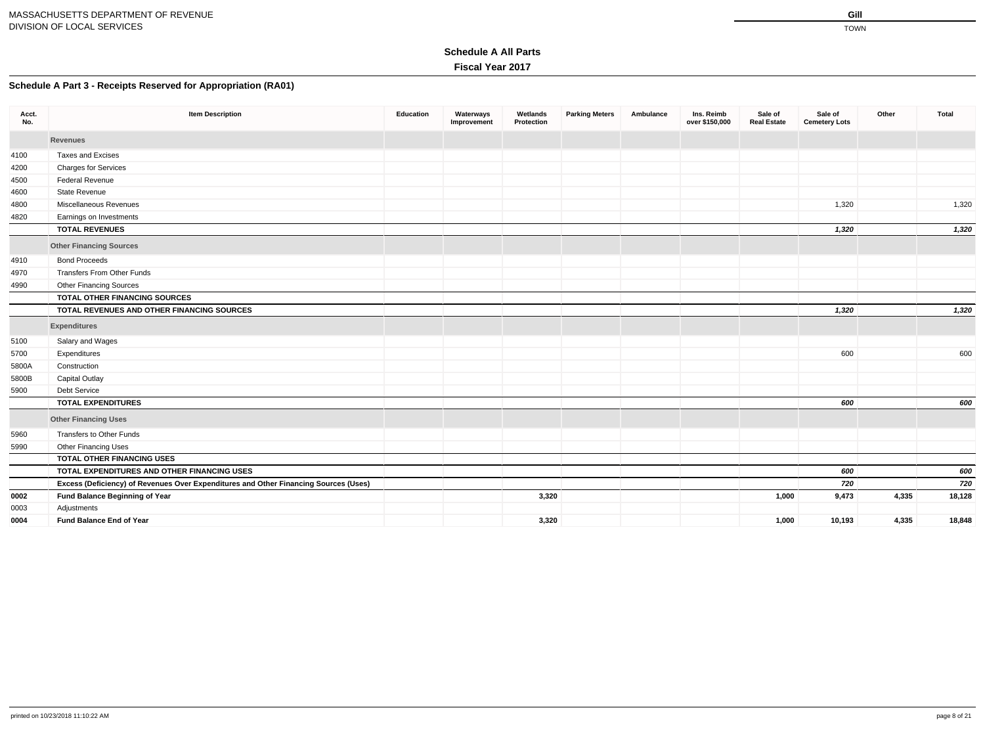### **Schedule A Part 3 - Receipts Reserved for Appropriation (RA01)**

| Acct.<br>No. | <b>Item Description</b>                                                              | <b>Education</b> | Waterways<br>Improvement | Wetlands<br>Protection | <b>Parking Meters</b> | Ambulance | Ins. Reimb<br>over \$150,000 | Sale of<br><b>Real Estate</b> | Sale of<br><b>Cemetery Lots</b> | Other | Total  |
|--------------|--------------------------------------------------------------------------------------|------------------|--------------------------|------------------------|-----------------------|-----------|------------------------------|-------------------------------|---------------------------------|-------|--------|
|              | <b>Revenues</b>                                                                      |                  |                          |                        |                       |           |                              |                               |                                 |       |        |
| 4100         | <b>Taxes and Excises</b>                                                             |                  |                          |                        |                       |           |                              |                               |                                 |       |        |
| 4200         | <b>Charges for Services</b>                                                          |                  |                          |                        |                       |           |                              |                               |                                 |       |        |
| 4500         | Federal Revenue                                                                      |                  |                          |                        |                       |           |                              |                               |                                 |       |        |
| 4600         | State Revenue                                                                        |                  |                          |                        |                       |           |                              |                               |                                 |       |        |
| 4800         | Miscellaneous Revenues                                                               |                  |                          |                        |                       |           |                              |                               | 1,320                           |       | 1,320  |
| 4820         | Earnings on Investments                                                              |                  |                          |                        |                       |           |                              |                               |                                 |       |        |
|              | <b>TOTAL REVENUES</b>                                                                |                  |                          |                        |                       |           |                              |                               | 1,320                           |       | 1,320  |
|              | <b>Other Financing Sources</b>                                                       |                  |                          |                        |                       |           |                              |                               |                                 |       |        |
| 4910         | <b>Bond Proceeds</b>                                                                 |                  |                          |                        |                       |           |                              |                               |                                 |       |        |
| 4970         | <b>Transfers From Other Funds</b>                                                    |                  |                          |                        |                       |           |                              |                               |                                 |       |        |
| 4990         | <b>Other Financing Sources</b>                                                       |                  |                          |                        |                       |           |                              |                               |                                 |       |        |
|              | <b>TOTAL OTHER FINANCING SOURCES</b>                                                 |                  |                          |                        |                       |           |                              |                               |                                 |       |        |
|              | TOTAL REVENUES AND OTHER FINANCING SOURCES                                           |                  |                          |                        |                       |           |                              |                               | 1,320                           |       | 1,320  |
|              | <b>Expenditures</b>                                                                  |                  |                          |                        |                       |           |                              |                               |                                 |       |        |
| 5100         | Salary and Wages                                                                     |                  |                          |                        |                       |           |                              |                               |                                 |       |        |
| 5700         | Expenditures                                                                         |                  |                          |                        |                       |           |                              |                               | 600                             |       | 600    |
| 5800A        | Construction                                                                         |                  |                          |                        |                       |           |                              |                               |                                 |       |        |
| 5800B        | <b>Capital Outlay</b>                                                                |                  |                          |                        |                       |           |                              |                               |                                 |       |        |
| 5900         | Debt Service                                                                         |                  |                          |                        |                       |           |                              |                               |                                 |       |        |
|              | <b>TOTAL EXPENDITURES</b>                                                            |                  |                          |                        |                       |           |                              |                               | 600                             |       | 600    |
|              | <b>Other Financing Uses</b>                                                          |                  |                          |                        |                       |           |                              |                               |                                 |       |        |
| 5960         | <b>Transfers to Other Funds</b>                                                      |                  |                          |                        |                       |           |                              |                               |                                 |       |        |
| 5990         | Other Financing Uses                                                                 |                  |                          |                        |                       |           |                              |                               |                                 |       |        |
|              | TOTAL OTHER FINANCING USES                                                           |                  |                          |                        |                       |           |                              |                               |                                 |       |        |
|              | TOTAL EXPENDITURES AND OTHER FINANCING USES                                          |                  |                          |                        |                       |           |                              |                               | 600                             |       | 600    |
|              | Excess (Deficiency) of Revenues Over Expenditures and Other Financing Sources (Uses) |                  |                          |                        |                       |           |                              |                               | 720                             |       | 720    |
| 0002         | <b>Fund Balance Beginning of Year</b>                                                |                  |                          | 3,320                  |                       |           |                              | 1,000                         | 9,473                           | 4,335 | 18,128 |
| 0003         | Adjustments                                                                          |                  |                          |                        |                       |           |                              |                               |                                 |       |        |
| 0004         | <b>Fund Balance End of Year</b>                                                      |                  |                          | 3,320                  |                       |           |                              | 1,000                         | 10,193                          | 4,335 | 18,848 |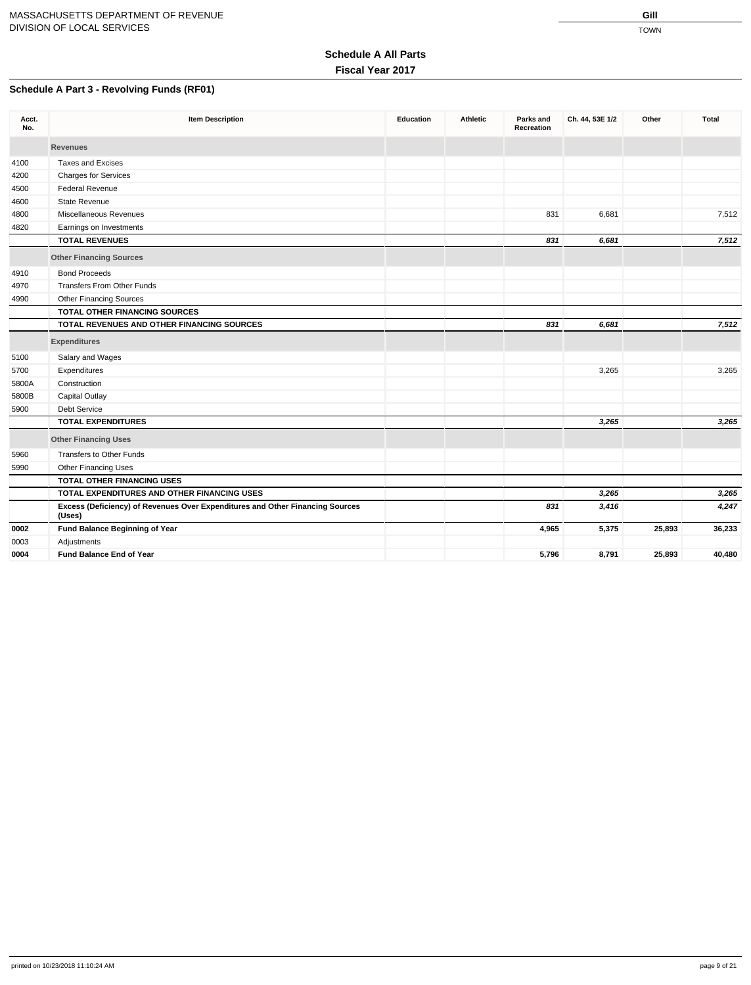### **Schedule A Part 3 - Revolving Funds (RF01)**

| Acct.<br>No. | <b>Item Description</b>                                                                 | <b>Education</b> | <b>Athletic</b> | Parks and<br><b>Recreation</b> | Ch. 44, 53E 1/2 | Other  | <b>Total</b> |
|--------------|-----------------------------------------------------------------------------------------|------------------|-----------------|--------------------------------|-----------------|--------|--------------|
|              | <b>Revenues</b>                                                                         |                  |                 |                                |                 |        |              |
| 4100         | <b>Taxes and Excises</b>                                                                |                  |                 |                                |                 |        |              |
| 4200         | <b>Charges for Services</b>                                                             |                  |                 |                                |                 |        |              |
| 4500         | <b>Federal Revenue</b>                                                                  |                  |                 |                                |                 |        |              |
| 4600         | State Revenue                                                                           |                  |                 |                                |                 |        |              |
| 4800         | Miscellaneous Revenues                                                                  |                  |                 | 831                            | 6,681           |        | 7,512        |
| 4820         | Earnings on Investments                                                                 |                  |                 |                                |                 |        |              |
|              | <b>TOTAL REVENUES</b>                                                                   |                  |                 | 831                            | 6,681           |        | 7,512        |
|              | <b>Other Financing Sources</b>                                                          |                  |                 |                                |                 |        |              |
| 4910         | <b>Bond Proceeds</b>                                                                    |                  |                 |                                |                 |        |              |
| 4970         | <b>Transfers From Other Funds</b>                                                       |                  |                 |                                |                 |        |              |
| 4990         | <b>Other Financing Sources</b>                                                          |                  |                 |                                |                 |        |              |
|              | <b>TOTAL OTHER FINANCING SOURCES</b>                                                    |                  |                 |                                |                 |        |              |
|              | TOTAL REVENUES AND OTHER FINANCING SOURCES                                              |                  |                 | 831                            | 6,681           |        | 7,512        |
|              | <b>Expenditures</b>                                                                     |                  |                 |                                |                 |        |              |
| 5100         | Salary and Wages                                                                        |                  |                 |                                |                 |        |              |
| 5700         | Expenditures                                                                            |                  |                 |                                | 3,265           |        | 3,265        |
| 5800A        | Construction                                                                            |                  |                 |                                |                 |        |              |
| 5800B        | <b>Capital Outlay</b>                                                                   |                  |                 |                                |                 |        |              |
| 5900         | <b>Debt Service</b>                                                                     |                  |                 |                                |                 |        |              |
|              | <b>TOTAL EXPENDITURES</b>                                                               |                  |                 |                                | 3,265           |        | 3,265        |
|              | <b>Other Financing Uses</b>                                                             |                  |                 |                                |                 |        |              |
| 5960         | Transfers to Other Funds                                                                |                  |                 |                                |                 |        |              |
| 5990         | Other Financing Uses                                                                    |                  |                 |                                |                 |        |              |
|              | <b>TOTAL OTHER FINANCING USES</b>                                                       |                  |                 |                                |                 |        |              |
|              | TOTAL EXPENDITURES AND OTHER FINANCING USES                                             |                  |                 |                                | 3,265           |        | 3,265        |
|              | Excess (Deficiency) of Revenues Over Expenditures and Other Financing Sources<br>(Uses) |                  |                 | 831                            | 3,416           |        | 4,247        |
| 0002         | <b>Fund Balance Beginning of Year</b>                                                   |                  |                 | 4,965                          | 5,375           | 25,893 | 36,233       |
| 0003         | Adjustments                                                                             |                  |                 |                                |                 |        |              |
| 0004         | <b>Fund Balance End of Year</b>                                                         |                  |                 | 5,796                          | 8,791           | 25,893 | 40,480       |
|              |                                                                                         |                  |                 |                                |                 |        |              |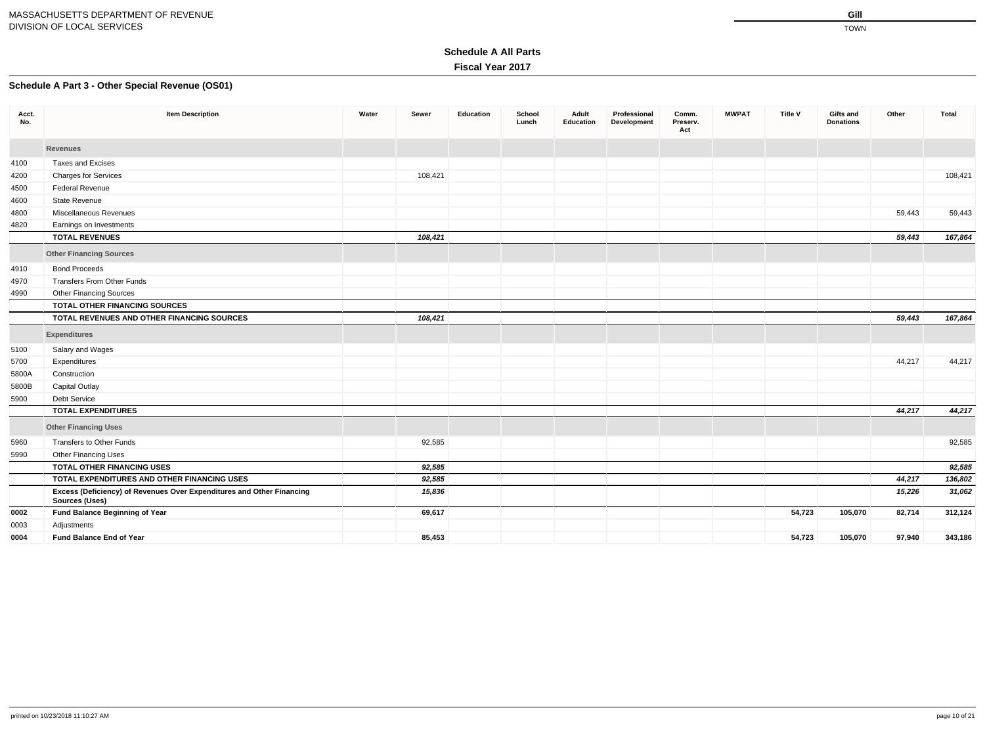### **Schedule A Part 3 - Other Special Revenue (OS01)**

| Acct.<br>No. | <b>Item Description</b>                                                                        | Water | Sewer   | <b>Education</b> | School<br>Lunch | Adult<br><b>Education</b> | Professional<br><b>Development</b> | Comm.<br>Preserv.<br>Act | <b>MWPAT</b> | <b>Title V</b> | <b>Gifts and</b><br><b>Donations</b> | Other  | <b>Total</b> |
|--------------|------------------------------------------------------------------------------------------------|-------|---------|------------------|-----------------|---------------------------|------------------------------------|--------------------------|--------------|----------------|--------------------------------------|--------|--------------|
|              | <b>Revenues</b>                                                                                |       |         |                  |                 |                           |                                    |                          |              |                |                                      |        |              |
| 4100         | <b>Taxes and Excises</b>                                                                       |       |         |                  |                 |                           |                                    |                          |              |                |                                      |        |              |
| 4200         | <b>Charges for Services</b>                                                                    |       | 108,421 |                  |                 |                           |                                    |                          |              |                |                                      |        | 108,421      |
| 4500         | <b>Federal Revenue</b>                                                                         |       |         |                  |                 |                           |                                    |                          |              |                |                                      |        |              |
| 4600         | <b>State Revenue</b>                                                                           |       |         |                  |                 |                           |                                    |                          |              |                |                                      |        |              |
| 4800         | Miscellaneous Revenues                                                                         |       |         |                  |                 |                           |                                    |                          |              |                |                                      | 59,443 | 59,443       |
| 4820         | Earnings on Investments                                                                        |       |         |                  |                 |                           |                                    |                          |              |                |                                      |        |              |
|              | <b>TOTAL REVENUES</b>                                                                          |       | 108,421 |                  |                 |                           |                                    |                          |              |                |                                      | 59,443 | 167,864      |
|              | <b>Other Financing Sources</b>                                                                 |       |         |                  |                 |                           |                                    |                          |              |                |                                      |        |              |
| 4910         | <b>Bond Proceeds</b>                                                                           |       |         |                  |                 |                           |                                    |                          |              |                |                                      |        |              |
| 4970         | <b>Transfers From Other Funds</b>                                                              |       |         |                  |                 |                           |                                    |                          |              |                |                                      |        |              |
| 4990         | <b>Other Financing Sources</b>                                                                 |       |         |                  |                 |                           |                                    |                          |              |                |                                      |        |              |
|              | <b>TOTAL OTHER FINANCING SOURCES</b>                                                           |       |         |                  |                 |                           |                                    |                          |              |                |                                      |        |              |
|              | TOTAL REVENUES AND OTHER FINANCING SOURCES                                                     |       | 108,421 |                  |                 |                           |                                    |                          |              |                |                                      | 59,443 | 167,864      |
|              | <b>Expenditures</b>                                                                            |       |         |                  |                 |                           |                                    |                          |              |                |                                      |        |              |
| 5100         | Salary and Wages                                                                               |       |         |                  |                 |                           |                                    |                          |              |                |                                      |        |              |
| 5700         | Expenditures                                                                                   |       |         |                  |                 |                           |                                    |                          |              |                |                                      | 44,217 | 44,217       |
| 5800A        | Construction                                                                                   |       |         |                  |                 |                           |                                    |                          |              |                |                                      |        |              |
| 5800B        | <b>Capital Outlay</b>                                                                          |       |         |                  |                 |                           |                                    |                          |              |                |                                      |        |              |
| 5900         | <b>Debt Service</b>                                                                            |       |         |                  |                 |                           |                                    |                          |              |                |                                      |        |              |
|              | <b>TOTAL EXPENDITURES</b>                                                                      |       |         |                  |                 |                           |                                    |                          |              |                |                                      | 44,217 | 44,217       |
|              | <b>Other Financing Uses</b>                                                                    |       |         |                  |                 |                           |                                    |                          |              |                |                                      |        |              |
| 5960         | <b>Transfers to Other Funds</b>                                                                |       | 92,585  |                  |                 |                           |                                    |                          |              |                |                                      |        | 92,585       |
| 5990         | <b>Other Financing Uses</b>                                                                    |       |         |                  |                 |                           |                                    |                          |              |                |                                      |        |              |
|              | <b>TOTAL OTHER FINANCING USES</b>                                                              |       | 92,585  |                  |                 |                           |                                    |                          |              |                |                                      |        | 92,585       |
|              | TOTAL EXPENDITURES AND OTHER FINANCING USES                                                    |       | 92,585  |                  |                 |                           |                                    |                          |              |                |                                      | 44,217 | 136,802      |
|              | Excess (Deficiency) of Revenues Over Expenditures and Other Financing<br><b>Sources (Uses)</b> |       | 15,836  |                  |                 |                           |                                    |                          |              |                |                                      | 15,226 | 31,062       |
| 0002         | <b>Fund Balance Beginning of Year</b>                                                          |       | 69,617  |                  |                 |                           |                                    |                          |              | 54,723         | 105,070                              | 82,714 | 312,124      |
| 0003         | Adjustments                                                                                    |       |         |                  |                 |                           |                                    |                          |              |                |                                      |        |              |
| 0004         | <b>Fund Balance End of Year</b>                                                                |       | 85,453  |                  |                 |                           |                                    |                          |              | 54,723         | 105,070                              | 97,940 | 343,186      |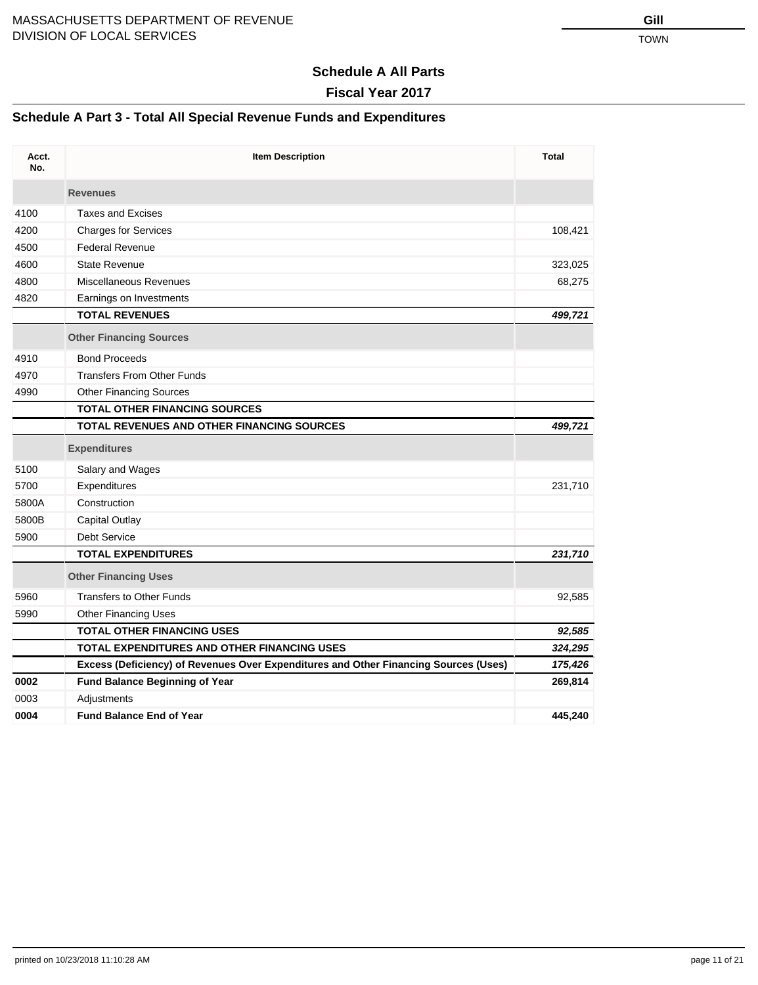#### **Fiscal Year 2017**

### **Schedule A Part 3 - Total All Special Revenue Funds and Expenditures**

| Acct.<br>No. | <b>Item Description</b>                                                              | <b>Total</b> |
|--------------|--------------------------------------------------------------------------------------|--------------|
|              | <b>Revenues</b>                                                                      |              |
| 4100         | <b>Taxes and Excises</b>                                                             |              |
| 4200         | <b>Charges for Services</b>                                                          | 108,421      |
| 4500         | <b>Federal Revenue</b>                                                               |              |
| 4600         | <b>State Revenue</b>                                                                 | 323,025      |
| 4800         | <b>Miscellaneous Revenues</b>                                                        | 68,275       |
| 4820         | Earnings on Investments                                                              |              |
|              | <b>TOTAL REVENUES</b>                                                                | 499,721      |
|              | <b>Other Financing Sources</b>                                                       |              |
| 4910         | <b>Bond Proceeds</b>                                                                 |              |
| 4970         | <b>Transfers From Other Funds</b>                                                    |              |
| 4990         | <b>Other Financing Sources</b>                                                       |              |
|              | <b>TOTAL OTHER FINANCING SOURCES</b>                                                 |              |
|              | <b>TOTAL REVENUES AND OTHER FINANCING SOURCES</b>                                    | 499,721      |
|              | <b>Expenditures</b>                                                                  |              |
| 5100         | Salary and Wages                                                                     |              |
| 5700         | Expenditures                                                                         | 231,710      |
| 5800A        | Construction                                                                         |              |
| 5800B        | Capital Outlay                                                                       |              |
| 5900         | Debt Service                                                                         |              |
|              | <b>TOTAL EXPENDITURES</b>                                                            | 231,710      |
|              | <b>Other Financing Uses</b>                                                          |              |
| 5960         | <b>Transfers to Other Funds</b>                                                      | 92,585       |
| 5990         | <b>Other Financing Uses</b>                                                          |              |
|              | <b>TOTAL OTHER FINANCING USES</b>                                                    | 92,585       |
|              | <b>TOTAL EXPENDITURES AND OTHER FINANCING USES</b>                                   | 324,295      |
|              | Excess (Deficiency) of Revenues Over Expenditures and Other Financing Sources (Uses) | 175,426      |
| 0002         | <b>Fund Balance Beginning of Year</b>                                                | 269,814      |
| 0003         | Adjustments                                                                          |              |
| 0004         | <b>Fund Balance End of Year</b>                                                      | 445.240      |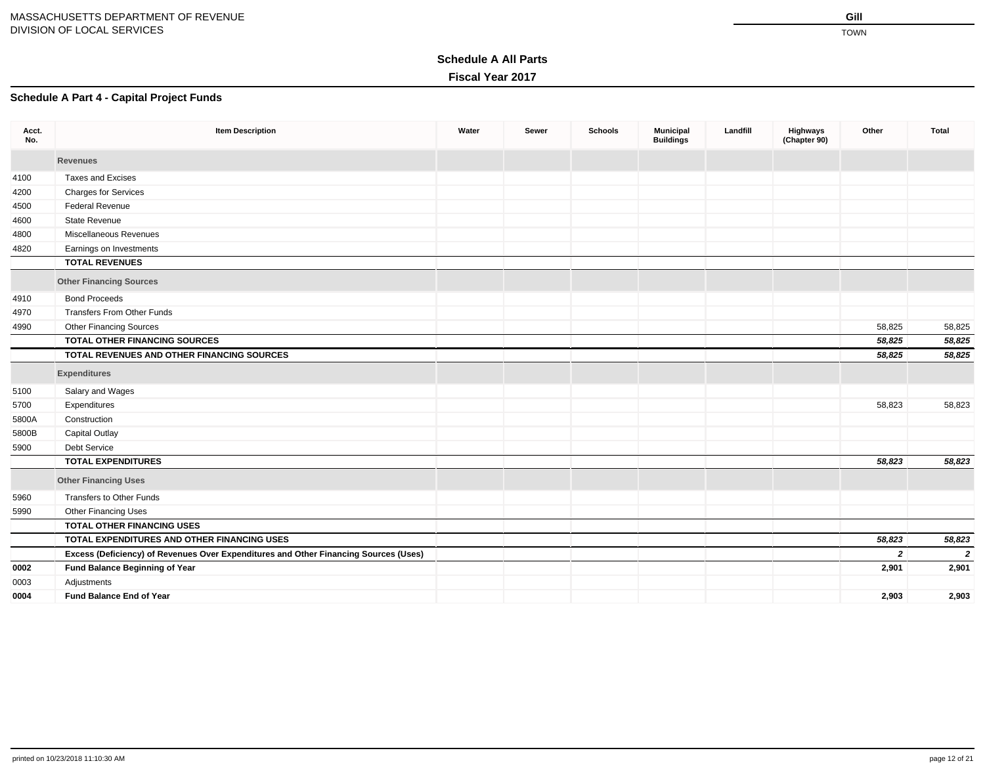### **Schedule A Part 4 - Capital Project Funds**

| Acct.<br>No. | <b>Item Description</b>                                                              | Water | Sewer | <b>Schools</b> | <b>Municipal</b><br><b>Buildings</b> | Landfill | Highways<br>(Chapter 90) | Other          | <b>Total</b>   |
|--------------|--------------------------------------------------------------------------------------|-------|-------|----------------|--------------------------------------|----------|--------------------------|----------------|----------------|
|              | <b>Revenues</b>                                                                      |       |       |                |                                      |          |                          |                |                |
| 4100         | <b>Taxes and Excises</b>                                                             |       |       |                |                                      |          |                          |                |                |
| 4200         | <b>Charges for Services</b>                                                          |       |       |                |                                      |          |                          |                |                |
| 4500         | <b>Federal Revenue</b>                                                               |       |       |                |                                      |          |                          |                |                |
| 4600         | <b>State Revenue</b>                                                                 |       |       |                |                                      |          |                          |                |                |
| 4800         | Miscellaneous Revenues                                                               |       |       |                |                                      |          |                          |                |                |
| 4820         | Earnings on Investments                                                              |       |       |                |                                      |          |                          |                |                |
|              | <b>TOTAL REVENUES</b>                                                                |       |       |                |                                      |          |                          |                |                |
|              | <b>Other Financing Sources</b>                                                       |       |       |                |                                      |          |                          |                |                |
| 4910         | <b>Bond Proceeds</b>                                                                 |       |       |                |                                      |          |                          |                |                |
| 4970         | <b>Transfers From Other Funds</b>                                                    |       |       |                |                                      |          |                          |                |                |
| 4990         | <b>Other Financing Sources</b>                                                       |       |       |                |                                      |          |                          | 58,825         | 58,825         |
|              | <b>TOTAL OTHER FINANCING SOURCES</b>                                                 |       |       |                |                                      |          |                          | 58,825         | 58,825         |
|              | TOTAL REVENUES AND OTHER FINANCING SOURCES                                           |       |       |                |                                      |          |                          | 58,825         | 58,825         |
|              | <b>Expenditures</b>                                                                  |       |       |                |                                      |          |                          |                |                |
| 5100         | Salary and Wages                                                                     |       |       |                |                                      |          |                          |                |                |
| 5700         | Expenditures                                                                         |       |       |                |                                      |          |                          | 58,823         | 58,823         |
| 5800A        | Construction                                                                         |       |       |                |                                      |          |                          |                |                |
| 5800B        | <b>Capital Outlay</b>                                                                |       |       |                |                                      |          |                          |                |                |
| 5900         | <b>Debt Service</b>                                                                  |       |       |                |                                      |          |                          |                |                |
|              | <b>TOTAL EXPENDITURES</b>                                                            |       |       |                |                                      |          |                          | 58,823         | 58,823         |
|              | <b>Other Financing Uses</b>                                                          |       |       |                |                                      |          |                          |                |                |
| 5960         | Transfers to Other Funds                                                             |       |       |                |                                      |          |                          |                |                |
| 5990         | Other Financing Uses                                                                 |       |       |                |                                      |          |                          |                |                |
|              | <b>TOTAL OTHER FINANCING USES</b>                                                    |       |       |                |                                      |          |                          |                |                |
|              | TOTAL EXPENDITURES AND OTHER FINANCING USES                                          |       |       |                |                                      |          |                          | 58,823         | 58,823         |
|              | Excess (Deficiency) of Revenues Over Expenditures and Other Financing Sources (Uses) |       |       |                |                                      |          |                          | 2 <sup>1</sup> | $\overline{2}$ |
| 0002         | <b>Fund Balance Beginning of Year</b>                                                |       |       |                |                                      |          |                          | 2,901          | 2,901          |
| 0003         | Adjustments                                                                          |       |       |                |                                      |          |                          |                |                |
| 0004         | <b>Fund Balance End of Year</b>                                                      |       |       |                |                                      |          |                          | 2,903          | 2,903          |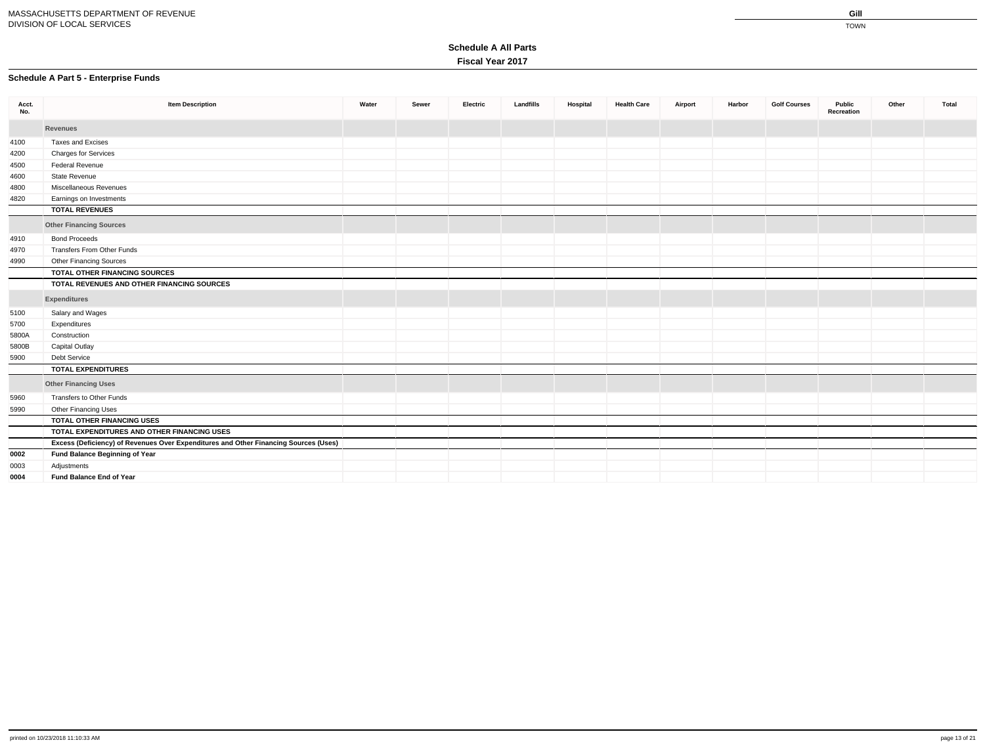### **Schedule A Part 5 - Enterprise Funds**

| Acct.<br>No. | <b>Item Description</b>                                                              | Water | Sewer | <b>Electric</b> | Landfills | Hospital | <b>Health Care</b> | Airport | Harbor | <b>Golf Courses</b> | <b>Public</b><br>Recreation | Other | Total |
|--------------|--------------------------------------------------------------------------------------|-------|-------|-----------------|-----------|----------|--------------------|---------|--------|---------------------|-----------------------------|-------|-------|
|              | <b>Revenues</b>                                                                      |       |       |                 |           |          |                    |         |        |                     |                             |       |       |
| 4100         | <b>Taxes and Excises</b>                                                             |       |       |                 |           |          |                    |         |        |                     |                             |       |       |
| 4200         | <b>Charges for Services</b>                                                          |       |       |                 |           |          |                    |         |        |                     |                             |       |       |
| 4500         | <b>Federal Revenue</b>                                                               |       |       |                 |           |          |                    |         |        |                     |                             |       |       |
| 4600         | State Revenue                                                                        |       |       |                 |           |          |                    |         |        |                     |                             |       |       |
| 4800         | Miscellaneous Revenues                                                               |       |       |                 |           |          |                    |         |        |                     |                             |       |       |
| 4820         | Earnings on Investments                                                              |       |       |                 |           |          |                    |         |        |                     |                             |       |       |
|              | <b>TOTAL REVENUES</b>                                                                |       |       |                 |           |          |                    |         |        |                     |                             |       |       |
|              | <b>Other Financing Sources</b>                                                       |       |       |                 |           |          |                    |         |        |                     |                             |       |       |
| 4910         | <b>Bond Proceeds</b>                                                                 |       |       |                 |           |          |                    |         |        |                     |                             |       |       |
| 4970         | <b>Transfers From Other Funds</b>                                                    |       |       |                 |           |          |                    |         |        |                     |                             |       |       |
| 4990         | <b>Other Financing Sources</b>                                                       |       |       |                 |           |          |                    |         |        |                     |                             |       |       |
|              | <b>TOTAL OTHER FINANCING SOURCES</b>                                                 |       |       |                 |           |          |                    |         |        |                     |                             |       |       |
|              | TOTAL REVENUES AND OTHER FINANCING SOURCES                                           |       |       |                 |           |          |                    |         |        |                     |                             |       |       |
|              | <b>Expenditures</b>                                                                  |       |       |                 |           |          |                    |         |        |                     |                             |       |       |
| 5100         | Salary and Wages                                                                     |       |       |                 |           |          |                    |         |        |                     |                             |       |       |
| 5700         | Expenditures                                                                         |       |       |                 |           |          |                    |         |        |                     |                             |       |       |
| 5800A        | Construction                                                                         |       |       |                 |           |          |                    |         |        |                     |                             |       |       |
| 5800B        | <b>Capital Outlay</b>                                                                |       |       |                 |           |          |                    |         |        |                     |                             |       |       |
| 5900         | Debt Service                                                                         |       |       |                 |           |          |                    |         |        |                     |                             |       |       |
|              | <b>TOTAL EXPENDITURES</b>                                                            |       |       |                 |           |          |                    |         |        |                     |                             |       |       |
|              | <b>Other Financing Uses</b>                                                          |       |       |                 |           |          |                    |         |        |                     |                             |       |       |
| 5960         | Transfers to Other Funds                                                             |       |       |                 |           |          |                    |         |        |                     |                             |       |       |
| 5990         | Other Financing Uses                                                                 |       |       |                 |           |          |                    |         |        |                     |                             |       |       |
|              | <b>TOTAL OTHER FINANCING USES</b>                                                    |       |       |                 |           |          |                    |         |        |                     |                             |       |       |
|              | TOTAL EXPENDITURES AND OTHER FINANCING USES                                          |       |       |                 |           |          |                    |         |        |                     |                             |       |       |
|              | Excess (Deficiency) of Revenues Over Expenditures and Other Financing Sources (Uses) |       |       |                 |           |          |                    |         |        |                     |                             |       |       |
| 0002         | <b>Fund Balance Beginning of Year</b>                                                |       |       |                 |           |          |                    |         |        |                     |                             |       |       |
| 0003         | Adjustments                                                                          |       |       |                 |           |          |                    |         |        |                     |                             |       |       |
| 0004         | <b>Fund Balance End of Year</b>                                                      |       |       |                 |           |          |                    |         |        |                     |                             |       |       |

# **Schedule A All Parts Fiscal Year 2017**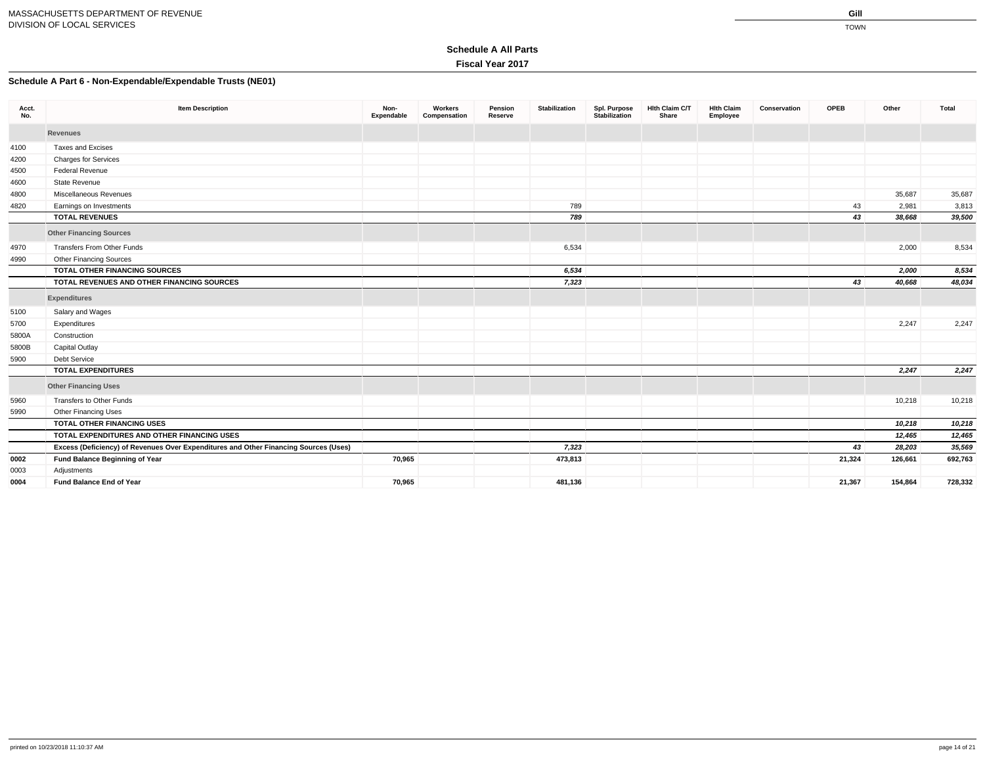### **Schedule A Part 6 - Non-Expendable/Expendable Trusts (NE01)**

| Acct.<br>No. | <b>Item Description</b>                                                              | Non-<br>Expendable | Workers<br>Compensation | Pension<br>Reserve | <b>Stabilization</b> | Spl. Purpose<br>Stabilization | <b>Hith Claim C/T</b><br>Share | <b>Hith Claim</b><br>Employee | Conservation | <b>OPEB</b> | Other   | Total   |
|--------------|--------------------------------------------------------------------------------------|--------------------|-------------------------|--------------------|----------------------|-------------------------------|--------------------------------|-------------------------------|--------------|-------------|---------|---------|
|              | <b>Revenues</b>                                                                      |                    |                         |                    |                      |                               |                                |                               |              |             |         |         |
| 4100         | <b>Taxes and Excises</b>                                                             |                    |                         |                    |                      |                               |                                |                               |              |             |         |         |
| 4200         | <b>Charges for Services</b>                                                          |                    |                         |                    |                      |                               |                                |                               |              |             |         |         |
| 4500         | Federal Revenue                                                                      |                    |                         |                    |                      |                               |                                |                               |              |             |         |         |
| 4600         | <b>State Revenue</b>                                                                 |                    |                         |                    |                      |                               |                                |                               |              |             |         |         |
| 4800         | Miscellaneous Revenues                                                               |                    |                         |                    |                      |                               |                                |                               |              |             | 35,687  | 35,687  |
| 4820         | Earnings on Investments                                                              |                    |                         |                    | 789                  |                               |                                |                               |              | 43          | 2,981   | 3,813   |
|              | <b>TOTAL REVENUES</b>                                                                |                    |                         |                    | 789                  |                               |                                |                               |              | 43          | 38,668  | 39,500  |
|              | <b>Other Financing Sources</b>                                                       |                    |                         |                    |                      |                               |                                |                               |              |             |         |         |
| 4970         | <b>Transfers From Other Funds</b>                                                    |                    |                         |                    | 6,534                |                               |                                |                               |              |             | 2,000   | 8,534   |
| 4990         | <b>Other Financing Sources</b>                                                       |                    |                         |                    |                      |                               |                                |                               |              |             |         |         |
|              | <b>TOTAL OTHER FINANCING SOURCES</b>                                                 |                    |                         |                    | 6,534                |                               |                                |                               |              |             | 2,000   | 8,534   |
|              | TOTAL REVENUES AND OTHER FINANCING SOURCES                                           |                    |                         |                    | 7,323                |                               |                                |                               |              | 43          | 40,668  | 48,034  |
|              | <b>Expenditures</b>                                                                  |                    |                         |                    |                      |                               |                                |                               |              |             |         |         |
| 5100         | Salary and Wages                                                                     |                    |                         |                    |                      |                               |                                |                               |              |             |         |         |
| 5700         | Expenditures                                                                         |                    |                         |                    |                      |                               |                                |                               |              |             | 2,247   | 2,247   |
| 5800A        | Construction                                                                         |                    |                         |                    |                      |                               |                                |                               |              |             |         |         |
| 5800B        | <b>Capital Outlay</b>                                                                |                    |                         |                    |                      |                               |                                |                               |              |             |         |         |
| 5900         | Debt Service                                                                         |                    |                         |                    |                      |                               |                                |                               |              |             |         |         |
|              | <b>TOTAL EXPENDITURES</b>                                                            |                    |                         |                    |                      |                               |                                |                               |              |             | 2,247   | 2,247   |
|              | <b>Other Financing Uses</b>                                                          |                    |                         |                    |                      |                               |                                |                               |              |             |         |         |
| 5960         | Transfers to Other Funds                                                             |                    |                         |                    |                      |                               |                                |                               |              |             | 10,218  | 10,218  |
| 5990         | Other Financing Uses                                                                 |                    |                         |                    |                      |                               |                                |                               |              |             |         |         |
|              | <b>TOTAL OTHER FINANCING USES</b>                                                    |                    |                         |                    |                      |                               |                                |                               |              |             | 10,218  | 10,218  |
|              | TOTAL EXPENDITURES AND OTHER FINANCING USES                                          |                    |                         |                    |                      |                               |                                |                               |              |             | 12,465  | 12,465  |
|              | Excess (Deficiency) of Revenues Over Expenditures and Other Financing Sources (Uses) |                    |                         |                    | 7,323                |                               |                                |                               |              | 43          | 28,203  | 35,569  |
| 0002         | <b>Fund Balance Beginning of Year</b>                                                | 70,965             |                         |                    | 473,813              |                               |                                |                               |              | 21,324      | 126,661 | 692,763 |
| 0003         | Adjustments                                                                          |                    |                         |                    |                      |                               |                                |                               |              |             |         |         |
| 0004         | <b>Fund Balance End of Year</b>                                                      | 70,965             |                         |                    | 481,136              |                               |                                |                               |              | 21,367      | 154,864 | 728,332 |

# **Schedule A All Parts**

**Fiscal Year 2017**

| I<br>v.<br>۰. |  |  |
|---------------|--|--|
|               |  |  |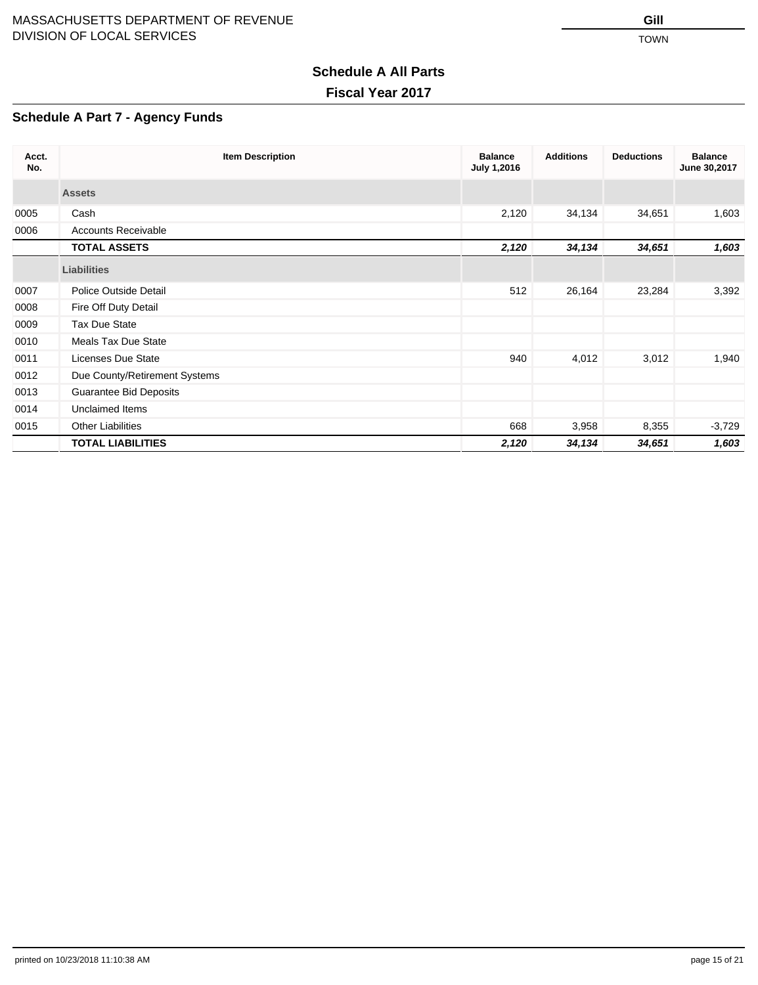#### **Schedule A Part 7 - Agency Funds**

| Acct.<br>No. | <b>Item Description</b>       | <b>Balance</b><br>July 1,2016 | <b>Additions</b> | <b>Deductions</b> | <b>Balance</b><br>June 30,2017 |
|--------------|-------------------------------|-------------------------------|------------------|-------------------|--------------------------------|
|              | <b>Assets</b>                 |                               |                  |                   |                                |
| 0005         | Cash                          | 2,120                         | 34,134           | 34,651            | 1,603                          |
| 0006         | <b>Accounts Receivable</b>    |                               |                  |                   |                                |
|              | <b>TOTAL ASSETS</b>           | 2,120                         | 34,134           | 34,651            | 1,603                          |
|              | <b>Liabilities</b>            |                               |                  |                   |                                |
| 0007         | Police Outside Detail         | 512                           | 26,164           | 23,284            | 3,392                          |
| 0008         | Fire Off Duty Detail          |                               |                  |                   |                                |
| 0009         | Tax Due State                 |                               |                  |                   |                                |
| 0010         | <b>Meals Tax Due State</b>    |                               |                  |                   |                                |
| 0011         | Licenses Due State            | 940                           | 4,012            | 3,012             | 1,940                          |
| 0012         | Due County/Retirement Systems |                               |                  |                   |                                |
| 0013         | <b>Guarantee Bid Deposits</b> |                               |                  |                   |                                |
| 0014         | Unclaimed Items               |                               |                  |                   |                                |
| 0015         | <b>Other Liabilities</b>      | 668                           | 3,958            | 8,355             | $-3,729$                       |
|              | <b>TOTAL LIABILITIES</b>      | 2,120                         | 34,134           | 34,651            | 1,603                          |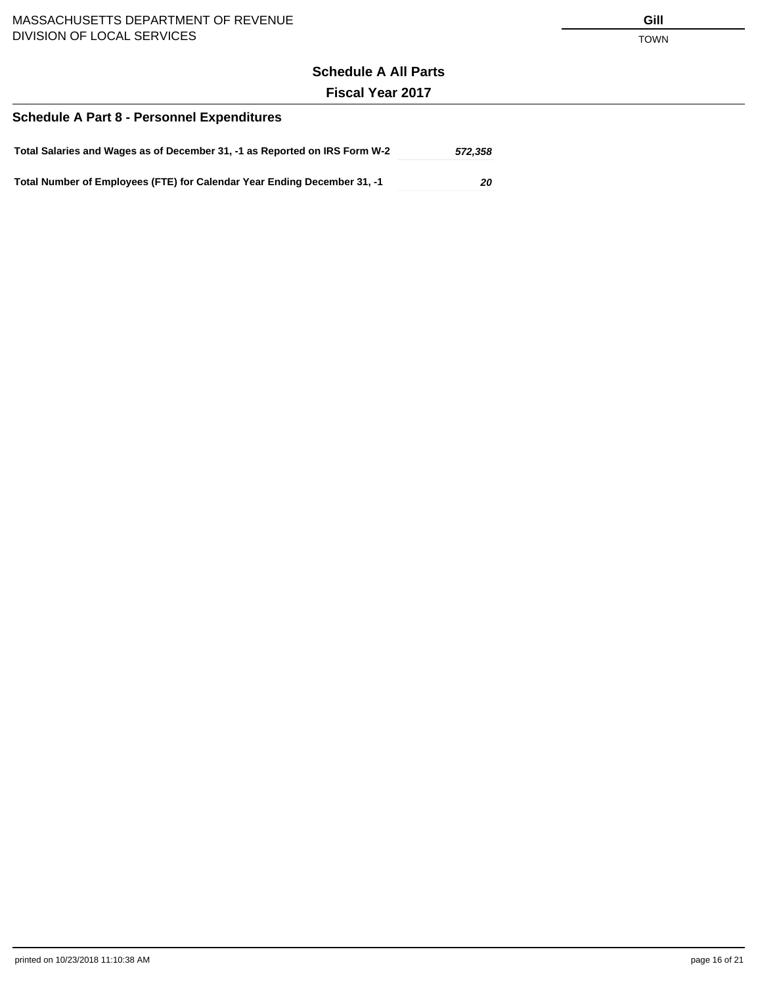# **Fiscal Year 2017**

#### **Schedule A Part 8 - Personnel Expenditures**

| Total Salaries and Wages as of December 31, -1 as Reported on IRS Form W-2 | 572.358 |
|----------------------------------------------------------------------------|---------|
|                                                                            |         |

**Total Number of Employees (FTE) for Calendar Year Ending December 31, -1 20**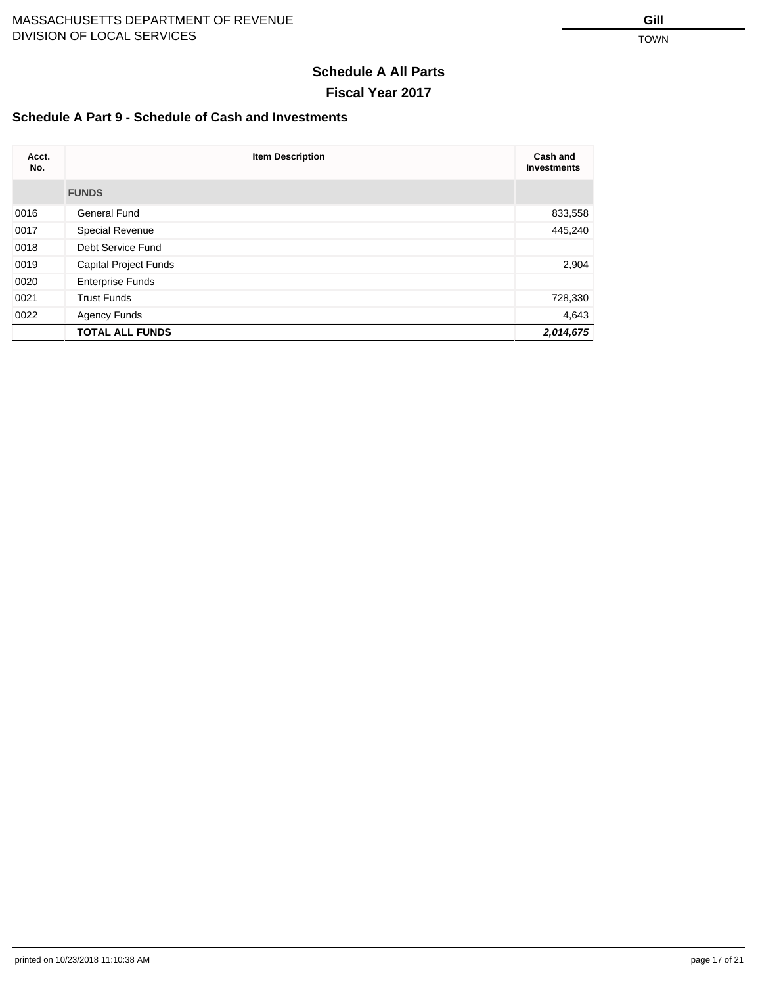#### **Schedule A Part 9 - Schedule of Cash and Investments**

| Acct.<br>No. | <b>Item Description</b> |           |  |  |
|--------------|-------------------------|-----------|--|--|
|              | <b>FUNDS</b>            |           |  |  |
| 0016         | General Fund            | 833,558   |  |  |
| 0017         | Special Revenue         | 445,240   |  |  |
| 0018         | Debt Service Fund       |           |  |  |
| 0019         | Capital Project Funds   | 2,904     |  |  |
| 0020         | <b>Enterprise Funds</b> |           |  |  |
| 0021         | <b>Trust Funds</b>      | 728,330   |  |  |
| 0022         | <b>Agency Funds</b>     | 4,643     |  |  |
|              | <b>TOTAL ALL FUNDS</b>  | 2,014,675 |  |  |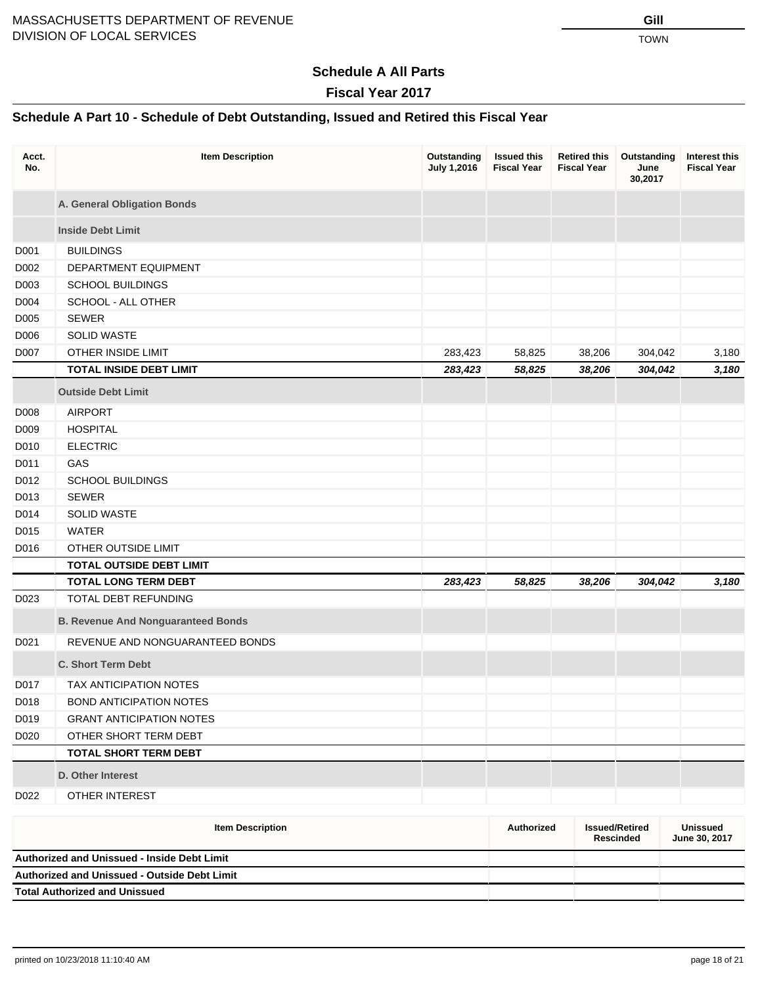### **Fiscal Year 2017**

#### **Schedule A Part 10 - Schedule of Debt Outstanding, Issued and Retired this Fiscal Year**

| A. General Obligation Bonds<br><b>Inside Debt Limit</b><br><b>BUILDINGS</b><br>D001<br>DEPARTMENT EQUIPMENT<br>D002<br><b>SCHOOL BUILDINGS</b><br>D003<br>SCHOOL - ALL OTHER<br>D004<br><b>SEWER</b><br>D005<br><b>SOLID WASTE</b><br>D006<br>D007<br>OTHER INSIDE LIMIT<br>283,423<br>58,825<br>38,206<br>304,042<br><b>TOTAL INSIDE DEBT LIMIT</b><br>283,423<br>58,825<br>38,206<br>304,042<br><b>Outside Debt Limit</b><br><b>AIRPORT</b><br>D008<br><b>HOSPITAL</b><br>D009<br><b>ELECTRIC</b><br>D010<br>GAS<br>D011<br><b>SCHOOL BUILDINGS</b><br>D012<br><b>SEWER</b><br>D013<br><b>SOLID WASTE</b><br>D014<br>D015<br><b>WATER</b><br>OTHER OUTSIDE LIMIT<br>D016<br>TOTAL OUTSIDE DEBT LIMIT<br><b>TOTAL LONG TERM DEBT</b><br>283,423<br>304,042<br>58,825<br>38,206<br>TOTAL DEBT REFUNDING<br>D023<br><b>B. Revenue And Nonguaranteed Bonds</b><br>REVENUE AND NONGUARANTEED BONDS<br>D021<br><b>C. Short Term Debt</b><br>D017<br>TAX ANTICIPATION NOTES<br><b>BOND ANTICIPATION NOTES</b><br>D018<br>D019<br><b>GRANT ANTICIPATION NOTES</b><br>D020<br>OTHER SHORT TERM DEBT<br><b>TOTAL SHORT TERM DEBT</b><br>D. Other Interest | Acct.<br>No. | <b>Item Description</b> | Outstanding<br>July 1,2016 | <b>Issued this</b><br><b>Fiscal Year</b> | <b>Retired this</b><br><b>Fiscal Year</b> | Outstanding<br>June<br>30,2017 | Interest this<br><b>Fiscal Year</b> |
|---------------------------------------------------------------------------------------------------------------------------------------------------------------------------------------------------------------------------------------------------------------------------------------------------------------------------------------------------------------------------------------------------------------------------------------------------------------------------------------------------------------------------------------------------------------------------------------------------------------------------------------------------------------------------------------------------------------------------------------------------------------------------------------------------------------------------------------------------------------------------------------------------------------------------------------------------------------------------------------------------------------------------------------------------------------------------------------------------------------------------------------------------|--------------|-------------------------|----------------------------|------------------------------------------|-------------------------------------------|--------------------------------|-------------------------------------|
|                                                                                                                                                                                                                                                                                                                                                                                                                                                                                                                                                                                                                                                                                                                                                                                                                                                                                                                                                                                                                                                                                                                                                   |              |                         |                            |                                          |                                           |                                |                                     |
|                                                                                                                                                                                                                                                                                                                                                                                                                                                                                                                                                                                                                                                                                                                                                                                                                                                                                                                                                                                                                                                                                                                                                   |              |                         |                            |                                          |                                           |                                |                                     |
|                                                                                                                                                                                                                                                                                                                                                                                                                                                                                                                                                                                                                                                                                                                                                                                                                                                                                                                                                                                                                                                                                                                                                   |              |                         |                            |                                          |                                           |                                |                                     |
|                                                                                                                                                                                                                                                                                                                                                                                                                                                                                                                                                                                                                                                                                                                                                                                                                                                                                                                                                                                                                                                                                                                                                   |              |                         |                            |                                          |                                           |                                |                                     |
|                                                                                                                                                                                                                                                                                                                                                                                                                                                                                                                                                                                                                                                                                                                                                                                                                                                                                                                                                                                                                                                                                                                                                   |              |                         |                            |                                          |                                           |                                |                                     |
|                                                                                                                                                                                                                                                                                                                                                                                                                                                                                                                                                                                                                                                                                                                                                                                                                                                                                                                                                                                                                                                                                                                                                   |              |                         |                            |                                          |                                           |                                |                                     |
|                                                                                                                                                                                                                                                                                                                                                                                                                                                                                                                                                                                                                                                                                                                                                                                                                                                                                                                                                                                                                                                                                                                                                   |              |                         |                            |                                          |                                           |                                |                                     |
|                                                                                                                                                                                                                                                                                                                                                                                                                                                                                                                                                                                                                                                                                                                                                                                                                                                                                                                                                                                                                                                                                                                                                   |              |                         |                            |                                          |                                           |                                |                                     |
|                                                                                                                                                                                                                                                                                                                                                                                                                                                                                                                                                                                                                                                                                                                                                                                                                                                                                                                                                                                                                                                                                                                                                   |              |                         |                            |                                          |                                           |                                | 3,180                               |
|                                                                                                                                                                                                                                                                                                                                                                                                                                                                                                                                                                                                                                                                                                                                                                                                                                                                                                                                                                                                                                                                                                                                                   |              |                         |                            |                                          |                                           |                                | 3,180                               |
|                                                                                                                                                                                                                                                                                                                                                                                                                                                                                                                                                                                                                                                                                                                                                                                                                                                                                                                                                                                                                                                                                                                                                   |              |                         |                            |                                          |                                           |                                |                                     |
|                                                                                                                                                                                                                                                                                                                                                                                                                                                                                                                                                                                                                                                                                                                                                                                                                                                                                                                                                                                                                                                                                                                                                   |              |                         |                            |                                          |                                           |                                |                                     |
|                                                                                                                                                                                                                                                                                                                                                                                                                                                                                                                                                                                                                                                                                                                                                                                                                                                                                                                                                                                                                                                                                                                                                   |              |                         |                            |                                          |                                           |                                |                                     |
|                                                                                                                                                                                                                                                                                                                                                                                                                                                                                                                                                                                                                                                                                                                                                                                                                                                                                                                                                                                                                                                                                                                                                   |              |                         |                            |                                          |                                           |                                |                                     |
|                                                                                                                                                                                                                                                                                                                                                                                                                                                                                                                                                                                                                                                                                                                                                                                                                                                                                                                                                                                                                                                                                                                                                   |              |                         |                            |                                          |                                           |                                |                                     |
|                                                                                                                                                                                                                                                                                                                                                                                                                                                                                                                                                                                                                                                                                                                                                                                                                                                                                                                                                                                                                                                                                                                                                   |              |                         |                            |                                          |                                           |                                |                                     |
|                                                                                                                                                                                                                                                                                                                                                                                                                                                                                                                                                                                                                                                                                                                                                                                                                                                                                                                                                                                                                                                                                                                                                   |              |                         |                            |                                          |                                           |                                |                                     |
|                                                                                                                                                                                                                                                                                                                                                                                                                                                                                                                                                                                                                                                                                                                                                                                                                                                                                                                                                                                                                                                                                                                                                   |              |                         |                            |                                          |                                           |                                |                                     |
|                                                                                                                                                                                                                                                                                                                                                                                                                                                                                                                                                                                                                                                                                                                                                                                                                                                                                                                                                                                                                                                                                                                                                   |              |                         |                            |                                          |                                           |                                |                                     |
|                                                                                                                                                                                                                                                                                                                                                                                                                                                                                                                                                                                                                                                                                                                                                                                                                                                                                                                                                                                                                                                                                                                                                   |              |                         |                            |                                          |                                           |                                |                                     |
|                                                                                                                                                                                                                                                                                                                                                                                                                                                                                                                                                                                                                                                                                                                                                                                                                                                                                                                                                                                                                                                                                                                                                   |              |                         |                            |                                          |                                           |                                |                                     |
|                                                                                                                                                                                                                                                                                                                                                                                                                                                                                                                                                                                                                                                                                                                                                                                                                                                                                                                                                                                                                                                                                                                                                   |              |                         |                            |                                          |                                           |                                | 3,180                               |
|                                                                                                                                                                                                                                                                                                                                                                                                                                                                                                                                                                                                                                                                                                                                                                                                                                                                                                                                                                                                                                                                                                                                                   |              |                         |                            |                                          |                                           |                                |                                     |
|                                                                                                                                                                                                                                                                                                                                                                                                                                                                                                                                                                                                                                                                                                                                                                                                                                                                                                                                                                                                                                                                                                                                                   |              |                         |                            |                                          |                                           |                                |                                     |
|                                                                                                                                                                                                                                                                                                                                                                                                                                                                                                                                                                                                                                                                                                                                                                                                                                                                                                                                                                                                                                                                                                                                                   |              |                         |                            |                                          |                                           |                                |                                     |
|                                                                                                                                                                                                                                                                                                                                                                                                                                                                                                                                                                                                                                                                                                                                                                                                                                                                                                                                                                                                                                                                                                                                                   |              |                         |                            |                                          |                                           |                                |                                     |
|                                                                                                                                                                                                                                                                                                                                                                                                                                                                                                                                                                                                                                                                                                                                                                                                                                                                                                                                                                                                                                                                                                                                                   |              |                         |                            |                                          |                                           |                                |                                     |
|                                                                                                                                                                                                                                                                                                                                                                                                                                                                                                                                                                                                                                                                                                                                                                                                                                                                                                                                                                                                                                                                                                                                                   |              |                         |                            |                                          |                                           |                                |                                     |
|                                                                                                                                                                                                                                                                                                                                                                                                                                                                                                                                                                                                                                                                                                                                                                                                                                                                                                                                                                                                                                                                                                                                                   |              |                         |                            |                                          |                                           |                                |                                     |
|                                                                                                                                                                                                                                                                                                                                                                                                                                                                                                                                                                                                                                                                                                                                                                                                                                                                                                                                                                                                                                                                                                                                                   |              |                         |                            |                                          |                                           |                                |                                     |
|                                                                                                                                                                                                                                                                                                                                                                                                                                                                                                                                                                                                                                                                                                                                                                                                                                                                                                                                                                                                                                                                                                                                                   |              |                         |                            |                                          |                                           |                                |                                     |
|                                                                                                                                                                                                                                                                                                                                                                                                                                                                                                                                                                                                                                                                                                                                                                                                                                                                                                                                                                                                                                                                                                                                                   |              |                         |                            |                                          |                                           |                                |                                     |
| D022<br><b>OTHER INTEREST</b>                                                                                                                                                                                                                                                                                                                                                                                                                                                                                                                                                                                                                                                                                                                                                                                                                                                                                                                                                                                                                                                                                                                     |              |                         |                            |                                          |                                           |                                |                                     |

| <b>Item Description</b>                            | Authorized | <b>Issued/Retired</b><br>Rescinded | Unissued<br>June 30, 2017 |
|----------------------------------------------------|------------|------------------------------------|---------------------------|
| <b>Authorized and Unissued - Inside Debt Limit</b> |            |                                    |                           |
| Authorized and Unissued - Outside Debt Limit       |            |                                    |                           |
| <b>Total Authorized and Unissued</b>               |            |                                    |                           |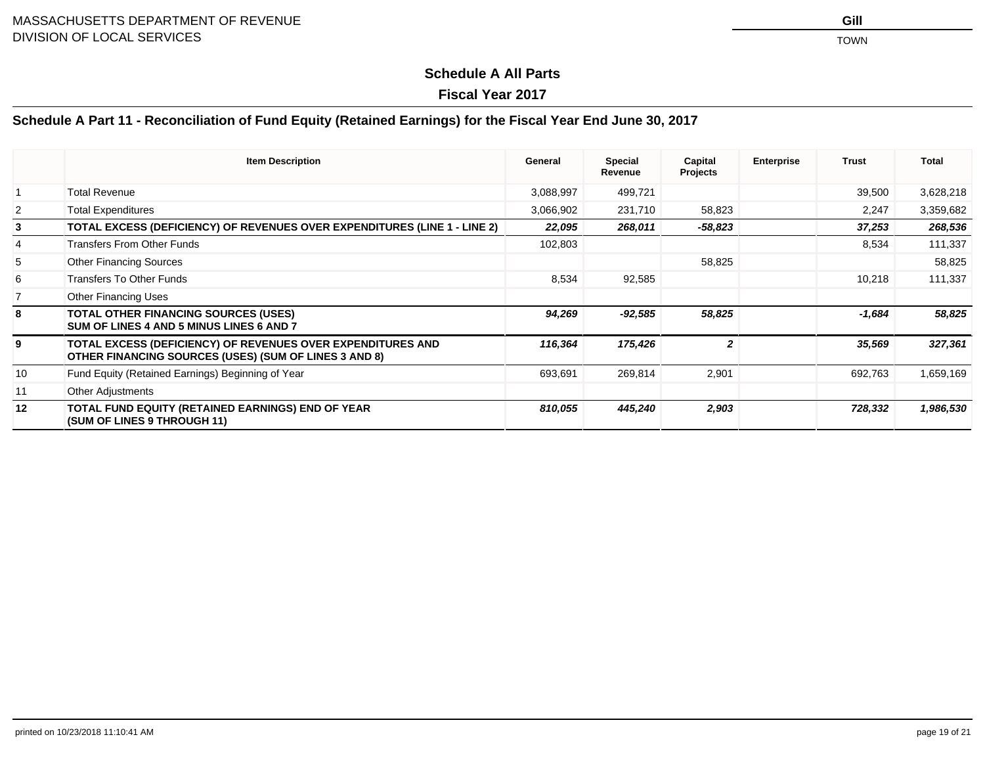### **Fiscal Year 2017**

### **Schedule A Part 11 - Reconciliation of Fund Equity (Retained Earnings) for the Fiscal Year End June 30, 2017**

|                | <b>Item Description</b>                                                                                              | General   | <b>Special</b><br>Revenue | Capital<br><b>Projects</b> | <b>Enterprise</b> | <b>Trust</b> | <b>Total</b> |
|----------------|----------------------------------------------------------------------------------------------------------------------|-----------|---------------------------|----------------------------|-------------------|--------------|--------------|
|                | <b>Total Revenue</b>                                                                                                 | 3,088,997 | 499,721                   |                            |                   | 39,500       | 3,628,218    |
| $\overline{2}$ | <b>Total Expenditures</b>                                                                                            | 3,066,902 | 231,710                   | 58,823                     |                   | 2,247        | 3,359,682    |
| 3              | TOTAL EXCESS (DEFICIENCY) OF REVENUES OVER EXPENDITURES (LINE 1 - LINE 2)                                            | 22,095    | 268,011                   | -58,823                    |                   | 37,253       | 268,536      |
| 4              | Transfers From Other Funds                                                                                           | 102,803   |                           |                            |                   | 8,534        | 111,337      |
| 5              | <b>Other Financing Sources</b>                                                                                       |           |                           | 58,825                     |                   |              | 58,825       |
| 6              | Transfers To Other Funds                                                                                             | 8,534     | 92,585                    |                            |                   | 10,218       | 111,337      |
|                | <b>Other Financing Uses</b>                                                                                          |           |                           |                            |                   |              |              |
| 8              | <b>TOTAL OTHER FINANCING SOURCES (USES)</b><br>SUM OF LINES 4 AND 5 MINUS LINES 6 AND 7                              | 94,269    | -92,585                   | 58,825                     |                   | -1,684       | 58,825       |
| 9              | TOTAL EXCESS (DEFICIENCY) OF REVENUES OVER EXPENDITURES AND<br>OTHER FINANCING SOURCES (USES) (SUM OF LINES 3 AND 8) | 116,364   | 175,426                   | $\mathbf{z}$               |                   | 35,569       | 327,361      |
| 10             | Fund Equity (Retained Earnings) Beginning of Year                                                                    | 693,691   | 269,814                   | 2,901                      |                   | 692,763      | 1,659,169    |
| 11             | <b>Other Adjustments</b>                                                                                             |           |                           |                            |                   |              |              |
| 12             | TOTAL FUND EQUITY (RETAINED EARNINGS) END OF YEAR<br>(SUM OF LINES 9 THROUGH 11)                                     | 810,055   | 445,240                   | 2,903                      |                   | 728,332      | 1,986,530    |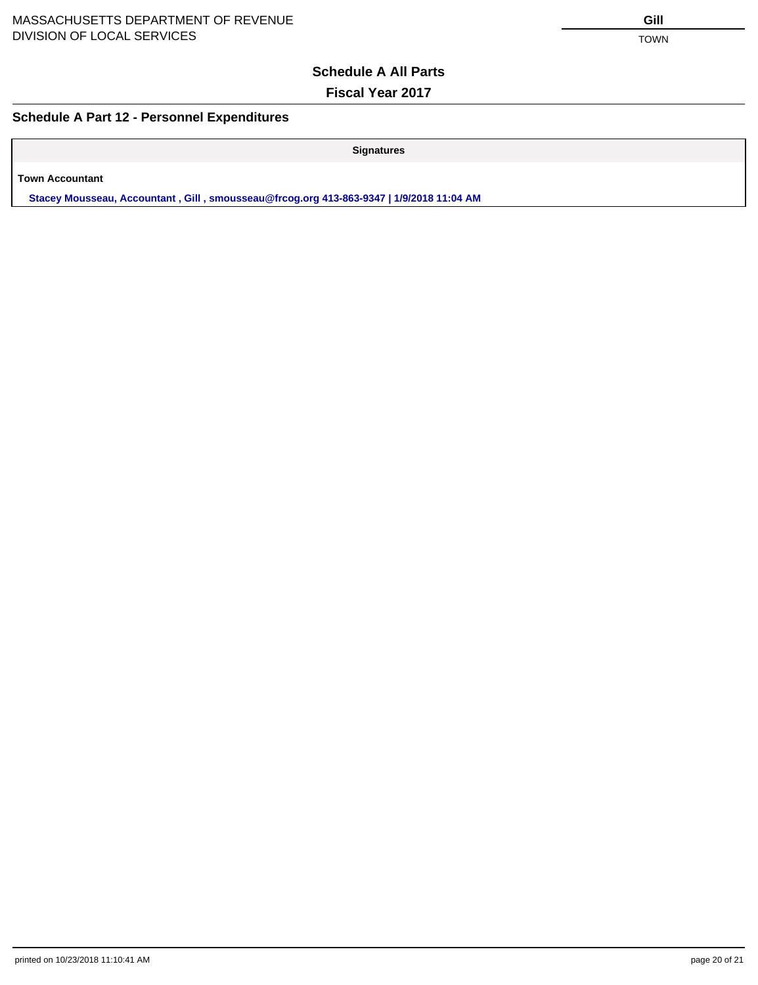#### **Fiscal Year 2017**

#### **Schedule A Part 12 - Personnel Expenditures**

**Signatures**

**Town Accountant**

**Stacey Mousseau, Accountant , Gill , smousseau@frcog.org 413-863-9347 | 1/9/2018 11:04 AM**